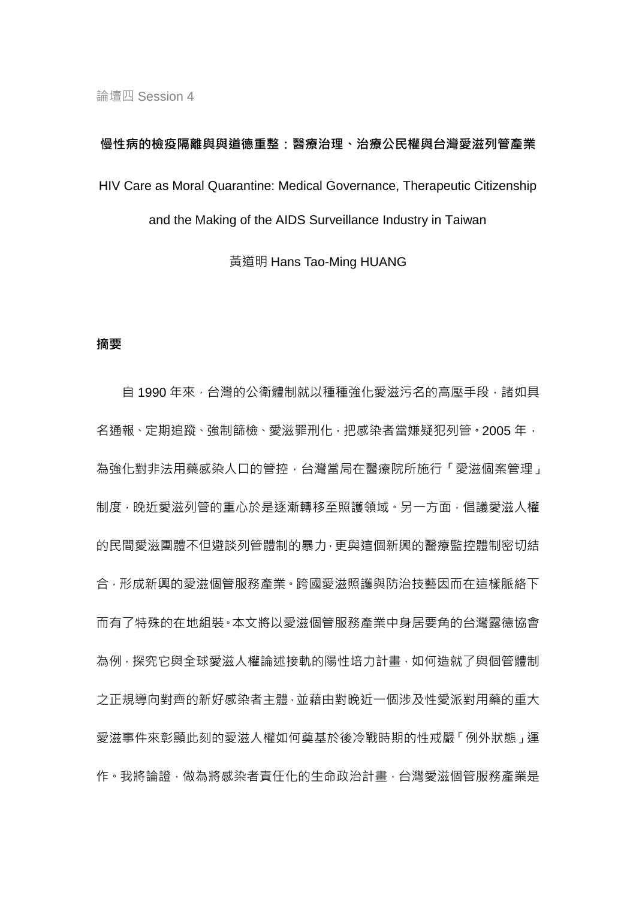# 慢性病的檢疫隔離與與道德重整:醫療治理、治療公民權與台灣愛滋列管產業 HIV Care as Moral Quarantine: Medical Governance, Therapeutic Citizenship and the Making of the AIDS Surveillance Industry in Taiwan

黃道明 Hans Tao-Ming HUANG

#### 摘要

自 1990 年來, 台灣的公衛體制就以種種強化愛滋污名的高壓手段, 諸如具 名通報、定期追蹤、強制篩檢、愛滋罪刑化,把感染者當嫌疑犯列管。2005年, 為強化對非法用藥感染人口的管控,台灣當局在醫療院所施行「愛滋個案管理」 制度,晚近愛滋列管的重心於是逐漸轉移至照護領域。另一方面,倡議愛滋人權 的民間愛滋團體不但避談列管體制的暴力,更與這個新興的醫療監控體制密切結 合,形成新興的愛滋個管服務產業。跨國愛滋照護與防治技藝因而在這樣脈絡下 而有了特殊的在地組裝。本文將以愛滋個管服務產業中身居要角的台灣露德協會 為例,探究它與全球愛滋人權論述接軌的陽性培力計畫,如何造就了與個管體制 之正規導向對齊的新好感染者主體,並藉由對晚近一個涉及性愛派對用藥的重大 愛滋事件來彰顯此刻的愛滋人權如何奠基於後冷戰時期的性戒嚴「例外狀態」運 作。我將論證,做為將感染者責任化的生命政治計書,台灣愛滋個管服務產業是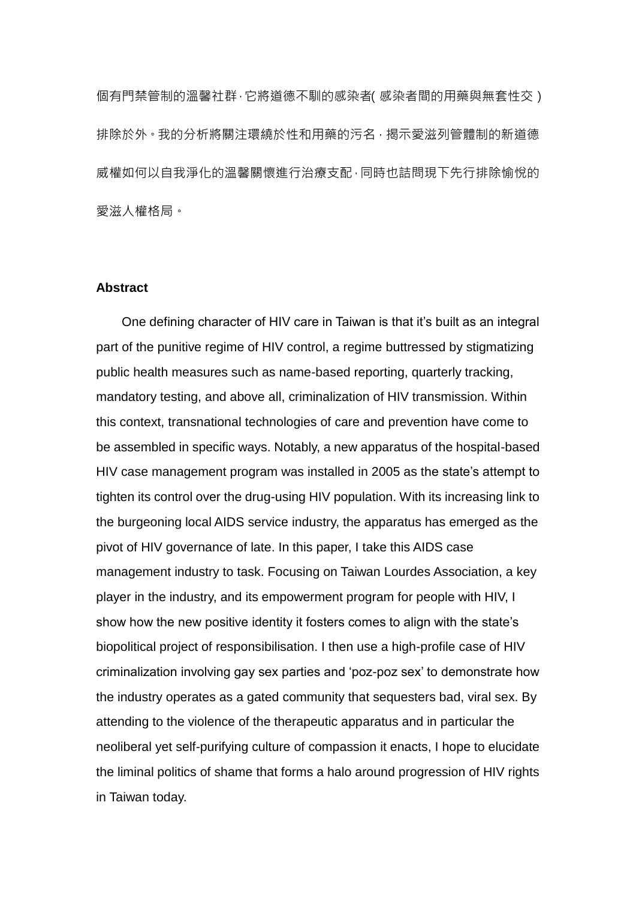個有門禁管制的溫馨社群,它將道德不馴的感染者(感染者間的用藥與無套性交) 排除於外。我的分析將關注環繞於性和用藥的污名,揭示愛滋列管體制的新道德 威權如何以自我淨化的溫馨關懷進行治療支配,同時也詰問現下先行排除愉悅的 愛滋人權格局。

#### **Abstract**

One defining character of HIV care in Taiwan is that it's built as an integral part of the punitive regime of HIV control, a regime buttressed by stigmatizing public health measures such as name-based reporting, quarterly tracking, mandatory testing, and above all, criminalization of HIV transmission. Within this context, transnational technologies of care and prevention have come to be assembled in specific ways. Notably, a new apparatus of the hospital-based HIV case management program was installed in 2005 as the state's attempt to tighten its control over the drug-using HIV population. With its increasing link to the burgeoning local AIDS service industry, the apparatus has emerged as the pivot of HIV governance of late. In this paper, I take this AIDS case management industry to task. Focusing on Taiwan Lourdes Association, a key player in the industry, and its empowerment program for people with HIV, I show how the new positive identity it fosters comes to align with the state's biopolitical project of responsibilisation. I then use a high-profile case of HIV criminalization involving gay sex parties and 'poz-poz sex' to demonstrate how the industry operates as a gated community that sequesters bad, viral sex. By attending to the violence of the therapeutic apparatus and in particular the neoliberal yet self-purifying culture of compassion it enacts, I hope to elucidate the liminal politics of shame that forms a halo around progression of HIV rights in Taiwan today.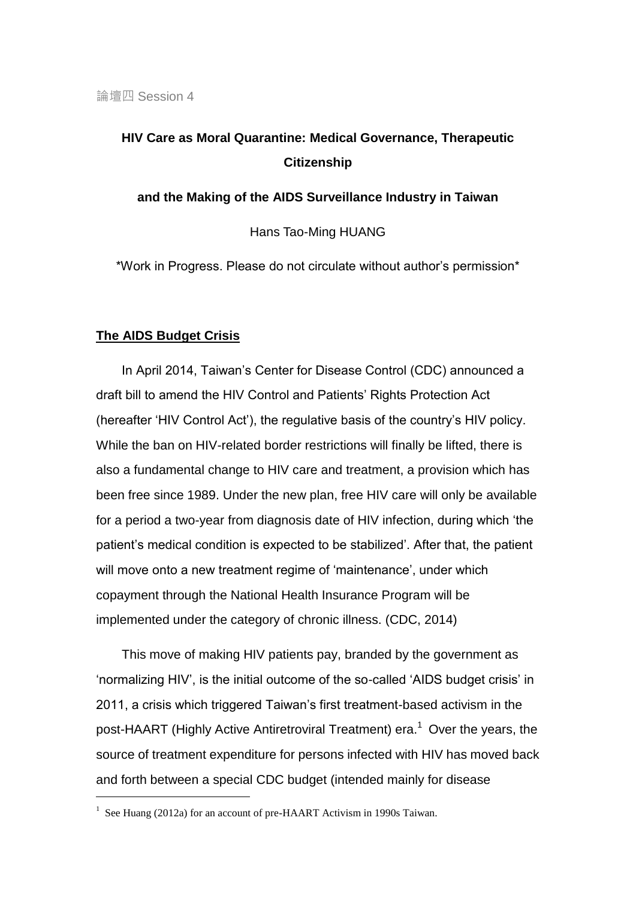# **HIV Care as Moral Quarantine: Medical Governance, Therapeutic Citizenship**

**and the Making of the AIDS Surveillance Industry in Taiwan**

Hans Tao-Ming HUANG

\*Work in Progress. Please do not circulate without author's permission\*

# **The AIDS Budget Crisis**

-

In April 2014, Taiwan's Center for Disease Control (CDC) announced a draft bill to amend the HIV Control and Patients' Rights Protection Act (hereafter 'HIV Control Act'), the regulative basis of the country's HIV policy. While the ban on HIV-related border restrictions will finally be lifted, there is also a fundamental change to HIV care and treatment, a provision which has been free since 1989. Under the new plan, free HIV care will only be available for a period a two-year from diagnosis date of HIV infection, during which 'the patient's medical condition is expected to be stabilized'. After that, the patient will move onto a new treatment regime of 'maintenance', under which copayment through the National Health Insurance Program will be implemented under the category of chronic illness. (CDC, 2014)

This move of making HIV patients pay, branded by the government as 'normalizing HIV', is the initial outcome of the so-called 'AIDS budget crisis' in 2011, a crisis which triggered Taiwan's first treatment-based activism in the post-HAART (Highly Active Antiretroviral Treatment) era.<sup>1</sup> Over the years, the source of treatment expenditure for persons infected with HIV has moved back and forth between a special CDC budget (intended mainly for disease

<sup>&</sup>lt;sup>1</sup> See Huang (2012a) for an account of pre-HAART Activism in 1990s Taiwan.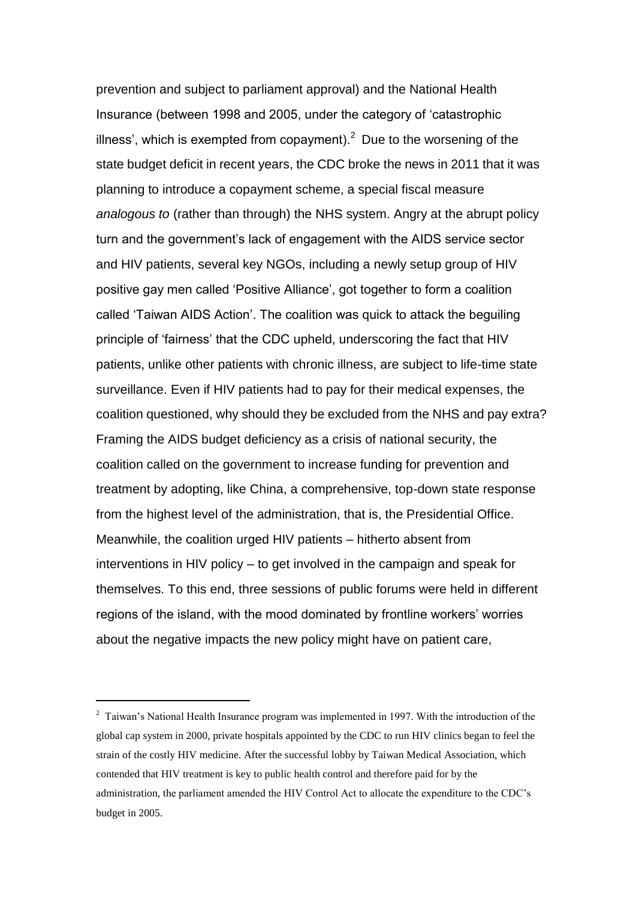prevention and subject to parliament approval) and the National Health Insurance (between 1998 and 2005, under the category of 'catastrophic illness', which is exempted from copayment). $<sup>2</sup>$  Due to the worsening of the</sup> state budget deficit in recent years, the CDC broke the news in 2011 that it was planning to introduce a copayment scheme, a special fiscal measure *analogous to* (rather than through) the NHS system. Angry at the abrupt policy turn and the government's lack of engagement with the AIDS service sector and HIV patients, several key NGOs, including a newly setup group of HIV positive gay men called 'Positive Alliance', got together to form a coalition called 'Taiwan AIDS Action'. The coalition was quick to attack the beguiling principle of 'fairness' that the CDC upheld, underscoring the fact that HIV patients, unlike other patients with chronic illness, are subject to life-time state surveillance. Even if HIV patients had to pay for their medical expenses, the coalition questioned, why should they be excluded from the NHS and pay extra? Framing the AIDS budget deficiency as a crisis of national security, the coalition called on the government to increase funding for prevention and treatment by adopting, like China, a comprehensive, top-down state response from the highest level of the administration, that is, the Presidential Office. Meanwhile, the coalition urged HIV patients – hitherto absent from interventions in HIV policy – to get involved in the campaign and speak for themselves. To this end, three sessions of public forums were held in different regions of the island, with the mood dominated by frontline workers' worries about the negative impacts the new policy might have on patient care,

<sup>&</sup>lt;sup>2</sup> Taiwan's National Health Insurance program was implemented in 1997. With the introduction of the global cap system in 2000, private hospitals appointed by the CDC to run HIV clinics began to feel the strain of the costly HIV medicine. After the successful lobby by Taiwan Medical Association, which contended that HIV treatment is key to public health control and therefore paid for by the administration, the parliament amended the HIV Control Act to allocate the expenditure to the CDC's budget in 2005.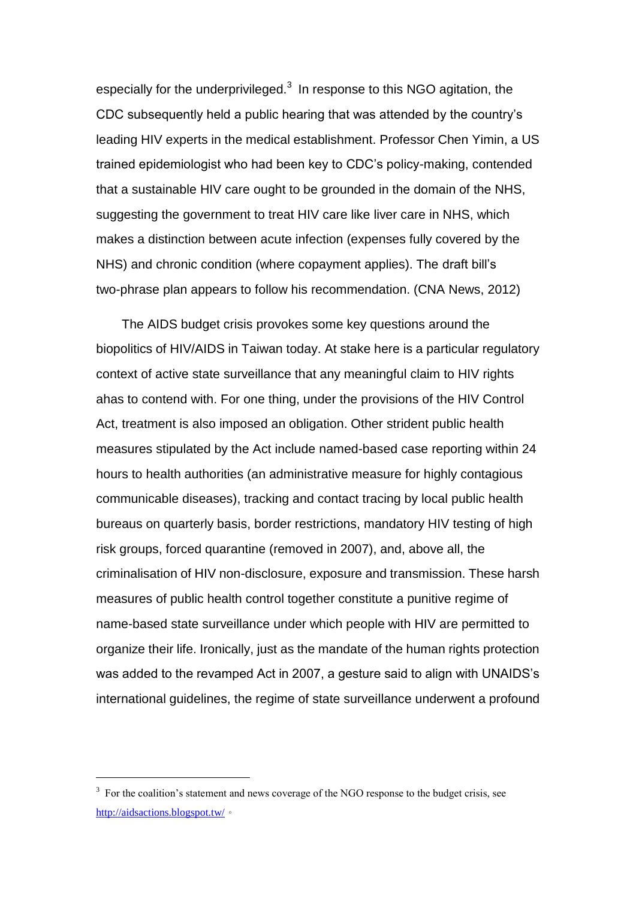especially for the underprivileged. $3$  In response to this NGO agitation, the CDC subsequently held a public hearing that was attended by the country's leading HIV experts in the medical establishment. Professor Chen Yimin, a US trained epidemiologist who had been key to CDC's policy-making, contended that a sustainable HIV care ought to be grounded in the domain of the NHS, suggesting the government to treat HIV care like liver care in NHS, which makes a distinction between acute infection (expenses fully covered by the NHS) and chronic condition (where copayment applies). The draft bill's two-phrase plan appears to follow his recommendation. (CNA News, 2012)

 The AIDS budget crisis provokes some key questions around the biopolitics of HIV/AIDS in Taiwan today. At stake here is a particular regulatory context of active state surveillance that any meaningful claim to HIV rights ahas to contend with. For one thing, under the provisions of the HIV Control Act, treatment is also imposed an obligation. Other strident public health measures stipulated by the Act include named-based case reporting within 24 hours to health authorities (an administrative measure for highly contagious communicable diseases), tracking and contact tracing by local public health bureaus on quarterly basis, border restrictions, mandatory HIV testing of high risk groups, forced quarantine (removed in 2007), and, above all, the criminalisation of HIV non-disclosure, exposure and transmission. These harsh measures of public health control together constitute a punitive regime of name-based state surveillance under which people with HIV are permitted to organize their life. Ironically, just as the mandate of the human rights protection was added to the revamped Act in 2007, a gesture said to align with UNAIDS's international guidelines, the regime of state surveillance underwent a profound

<sup>&</sup>lt;sup>3</sup> For the coalition's statement and news coverage of the NGO response to the budget crisis, see <http://aidsactions.blogspot.tw/>。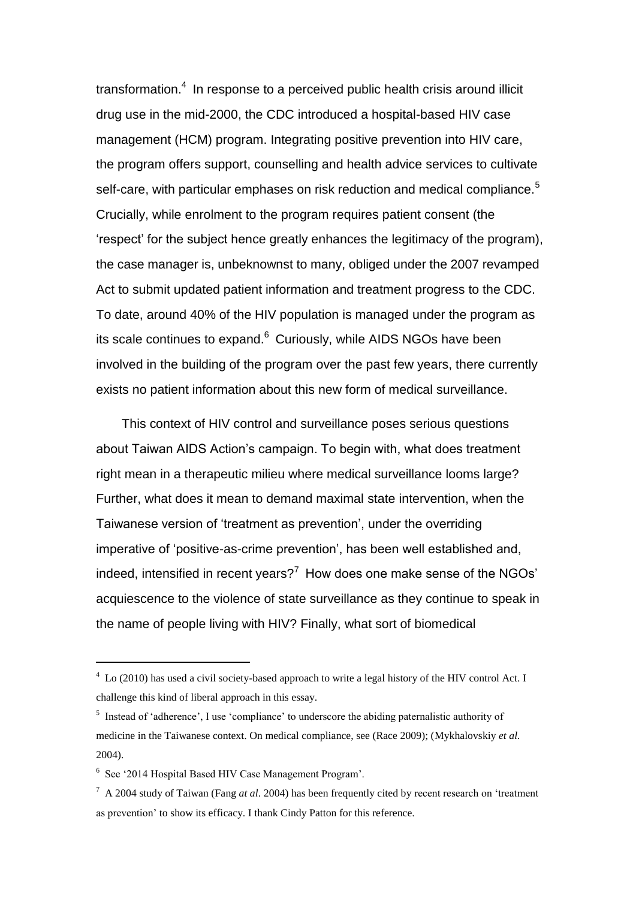transformation.<sup>4</sup> In response to a perceived public health crisis around illicit drug use in the mid-2000, the CDC introduced a hospital-based HIV case management (HCM) program. Integrating positive prevention into HIV care, the program offers support, counselling and health advice services to cultivate self-care, with particular emphases on risk reduction and medical compliance.<sup>5</sup> Crucially, while enrolment to the program requires patient consent (the 'respect' for the subject hence greatly enhances the legitimacy of the program), the case manager is, unbeknownst to many, obliged under the 2007 revamped Act to submit updated patient information and treatment progress to the CDC. To date, around 40% of the HIV population is managed under the program as its scale continues to expand.<sup>6</sup> Curiously, while AIDS NGOs have been involved in the building of the program over the past few years, there currently exists no patient information about this new form of medical surveillance.

 This context of HIV control and surveillance poses serious questions about Taiwan AIDS Action's campaign. To begin with, what does treatment right mean in a therapeutic milieu where medical surveillance looms large? Further, what does it mean to demand maximal state intervention, when the Taiwanese version of 'treatment as prevention', under the overriding imperative of 'positive-as-crime prevention', has been well established and, indeed, intensified in recent years?<sup>7</sup> How does one make sense of the NGOs' acquiescence to the violence of state surveillance as they continue to speak in the name of people living with HIV? Finally, what sort of biomedical

<sup>4</sup> Lo (2010) has used a civil society-based approach to write a legal history of the HIV control Act. I challenge this kind of liberal approach in this essay.

<sup>&</sup>lt;sup>5</sup> Instead of 'adherence', I use 'compliance' to underscore the abiding paternalistic authority of medicine in the Taiwanese context. On medical compliance, see (Race 2009); (Mykhalovskiy *et al.*  2004).

<sup>6</sup> See '2014 Hospital Based HIV Case Management Program'.

<sup>7</sup> A 2004 study of Taiwan (Fang *at al*. 2004) has been frequently cited by recent research on 'treatment as prevention' to show its efficacy. I thank Cindy Patton for this reference.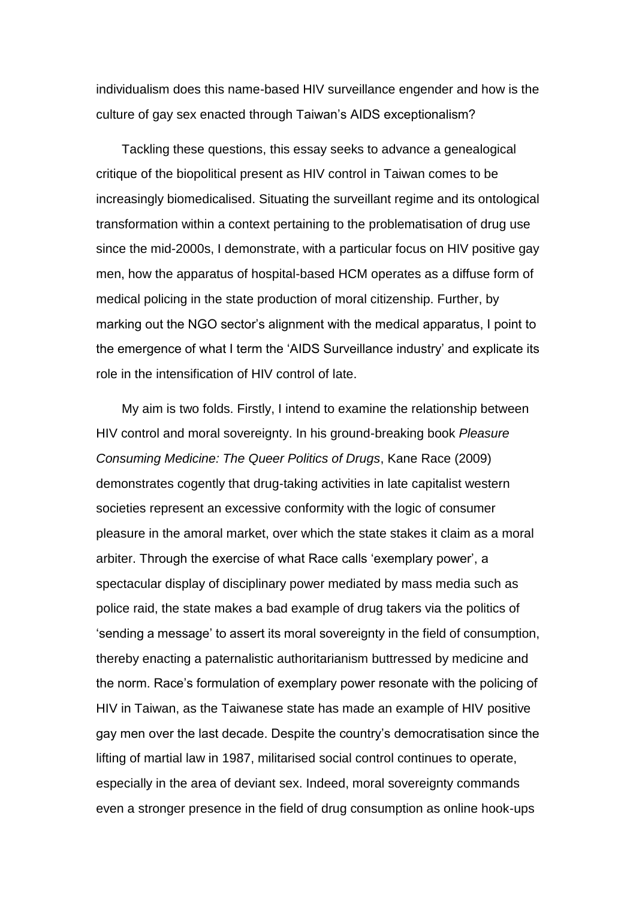individualism does this name-based HIV surveillance engender and how is the culture of gay sex enacted through Taiwan's AIDS exceptionalism?

Tackling these questions, this essay seeks to advance a genealogical critique of the biopolitical present as HIV control in Taiwan comes to be increasingly biomedicalised. Situating the surveillant regime and its ontological transformation within a context pertaining to the problematisation of drug use since the mid-2000s, I demonstrate, with a particular focus on HIV positive gay men, how the apparatus of hospital-based HCM operates as a diffuse form of medical policing in the state production of moral citizenship. Further, by marking out the NGO sector's alignment with the medical apparatus, I point to the emergence of what I term the 'AIDS Surveillance industry' and explicate its role in the intensification of HIV control of late.

My aim is two folds. Firstly, I intend to examine the relationship between HIV control and moral sovereignty. In his ground-breaking book *Pleasure Consuming Medicine: The Queer Politics of Drugs*, Kane Race (2009) demonstrates cogently that drug-taking activities in late capitalist western societies represent an excessive conformity with the logic of consumer pleasure in the amoral market, over which the state stakes it claim as a moral arbiter. Through the exercise of what Race calls 'exemplary power', a spectacular display of disciplinary power mediated by mass media such as police raid, the state makes a bad example of drug takers via the politics of 'sending a message' to assert its moral sovereignty in the field of consumption, thereby enacting a paternalistic authoritarianism buttressed by medicine and the norm. Race's formulation of exemplary power resonate with the policing of HIV in Taiwan, as the Taiwanese state has made an example of HIV positive gay men over the last decade. Despite the country's democratisation since the lifting of martial law in 1987, militarised social control continues to operate, especially in the area of deviant sex. Indeed, moral sovereignty commands even a stronger presence in the field of drug consumption as online hook-ups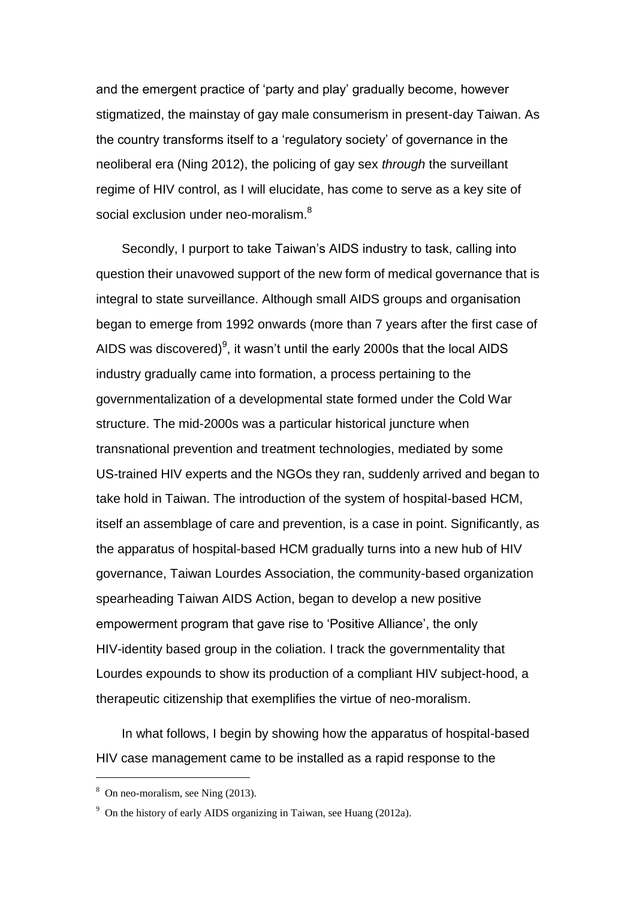and the emergent practice of 'party and play' gradually become, however stigmatized, the mainstay of gay male consumerism in present-day Taiwan. As the country transforms itself to a 'regulatory society' of governance in the neoliberal era (Ning 2012), the policing of gay sex *through* the surveillant regime of HIV control, as I will elucidate, has come to serve as a key site of social exclusion under neo-moralism.<sup>8</sup>

 Secondly, I purport to take Taiwan's AIDS industry to task, calling into question their unavowed support of the new form of medical governance that is integral to state surveillance. Although small AIDS groups and organisation began to emerge from 1992 onwards (more than 7 years after the first case of AIDS was discovered)<sup>9</sup>, it wasn't until the early 2000s that the local AIDS industry gradually came into formation, a process pertaining to the governmentalization of a developmental state formed under the Cold War structure. The mid-2000s was a particular historical juncture when transnational prevention and treatment technologies, mediated by some US-trained HIV experts and the NGOs they ran, suddenly arrived and began to take hold in Taiwan. The introduction of the system of hospital-based HCM, itself an assemblage of care and prevention, is a case in point. Significantly, as the apparatus of hospital-based HCM gradually turns into a new hub of HIV governance, Taiwan Lourdes Association, the community-based organization spearheading Taiwan AIDS Action, began to develop a new positive empowerment program that gave rise to 'Positive Alliance', the only HIV-identity based group in the coliation. I track the governmentality that Lourdes expounds to show its production of a compliant HIV subject-hood, a therapeutic citizenship that exemplifies the virtue of neo-moralism.

In what follows, I begin by showing how the apparatus of hospital-based HIV case management came to be installed as a rapid response to the

<sup>8</sup> On neo-moralism, see Ning (2013).

<sup>&</sup>lt;sup>9</sup> On the history of early AIDS organizing in Taiwan, see Huang (2012a).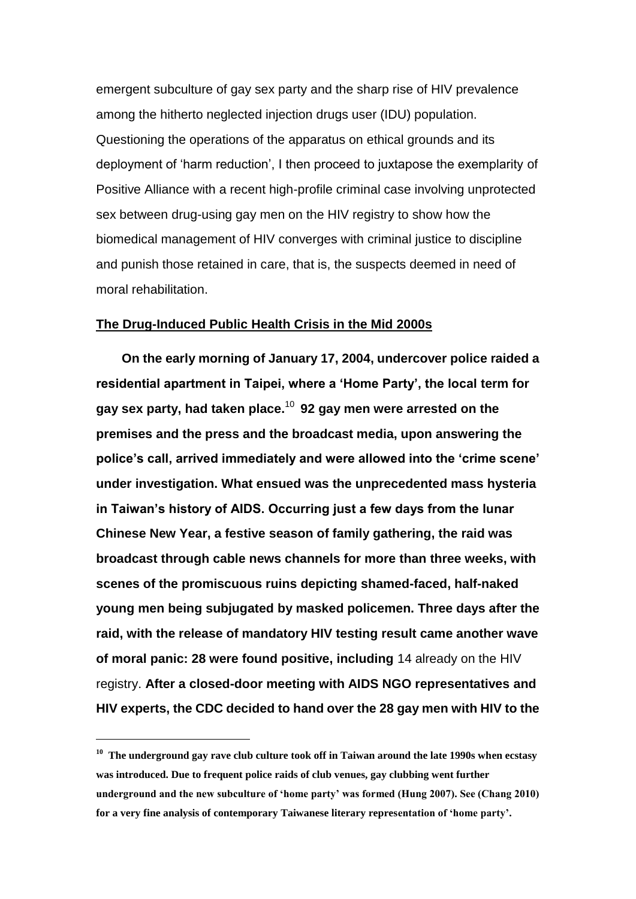emergent subculture of gay sex party and the sharp rise of HIV prevalence among the hitherto neglected injection drugs user (IDU) population. Questioning the operations of the apparatus on ethical grounds and its deployment of 'harm reduction', I then proceed to juxtapose the exemplarity of Positive Alliance with a recent high-profile criminal case involving unprotected sex between drug-using gay men on the HIV registry to show how the biomedical management of HIV converges with criminal justice to discipline and punish those retained in care, that is, the suspects deemed in need of moral rehabilitation.

# **The Drug-Induced Public Health Crisis in the Mid 2000s**

**On the early morning of January 17, 2004, undercover police raided a residential apartment in Taipei, where a 'Home Party', the local term for gay sex party, had taken place.**<sup>10</sup> **92 gay men were arrested on the premises and the press and the broadcast media, upon answering the police's call, arrived immediately and were allowed into the 'crime scene' under investigation. What ensued was the unprecedented mass hysteria in Taiwan's history of AIDS. Occurring just a few days from the lunar Chinese New Year, a festive season of family gathering, the raid was broadcast through cable news channels for more than three weeks, with scenes of the promiscuous ruins depicting shamed-faced, half-naked young men being subjugated by masked policemen. Three days after the raid, with the release of mandatory HIV testing result came another wave of moral panic: 28 were found positive, including** 14 already on the HIV registry. **After a closed-door meeting with AIDS NGO representatives and HIV experts, the CDC decided to hand over the 28 gay men with HIV to the** 

**<sup>10</sup> The underground gay rave club culture took off in Taiwan around the late 1990s when ecstasy was introduced. Due to frequent police raids of club venues, gay clubbing went further underground and the new subculture of 'home party' was formed (Hung 2007). See (Chang 2010) for a very fine analysis of contemporary Taiwanese literary representation of 'home party'.**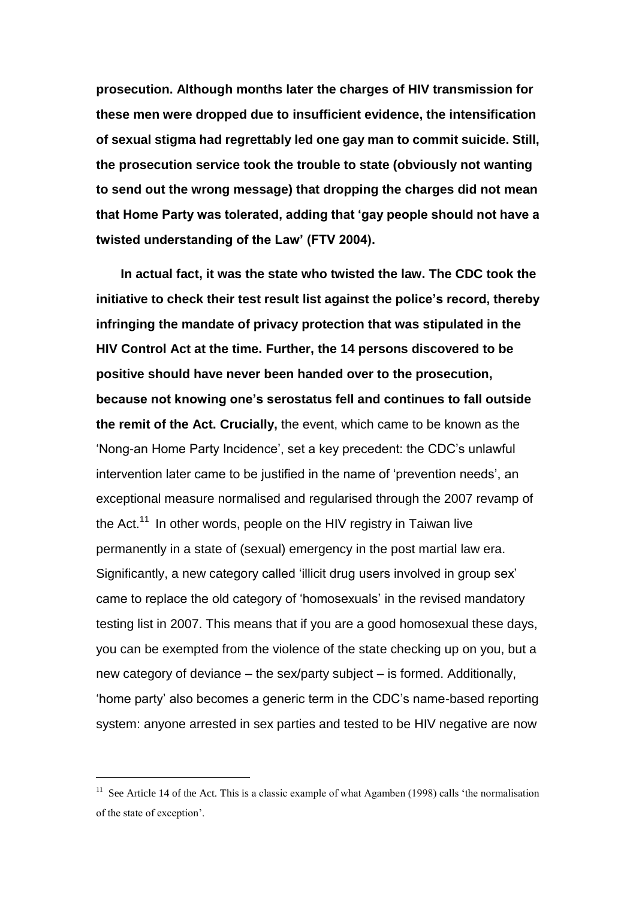**prosecution. Although months later the charges of HIV transmission for these men were dropped due to insufficient evidence, the intensification of sexual stigma had regrettably led one gay man to commit suicide. Still, the prosecution service took the trouble to state (obviously not wanting to send out the wrong message) that dropping the charges did not mean that Home Party was tolerated, adding that 'gay people should not have a twisted understanding of the Law' (FTV 2004).**

 **In actual fact, it was the state who twisted the law. The CDC took the initiative to check their test result list against the police's record, thereby infringing the mandate of privacy protection that was stipulated in the HIV Control Act at the time. Further, the 14 persons discovered to be positive should have never been handed over to the prosecution, because not knowing one's serostatus fell and continues to fall outside the remit of the Act. Crucially,** the event, which came to be known as the 'Nong-an Home Party Incidence', set a key precedent: the CDC's unlawful intervention later came to be justified in the name of 'prevention needs', an exceptional measure normalised and regularised through the 2007 revamp of the Act.<sup>11</sup> In other words, people on the HIV registry in Taiwan live permanently in a state of (sexual) emergency in the post martial law era. Significantly, a new category called 'illicit drug users involved in group sex' came to replace the old category of 'homosexuals' in the revised mandatory testing list in 2007. This means that if you are a good homosexual these days, you can be exempted from the violence of the state checking up on you, but a new category of deviance – the sex/party subject – is formed. Additionally, 'home party' also becomes a generic term in the CDC's name-based reporting system: anyone arrested in sex parties and tested to be HIV negative are now

<sup>&</sup>lt;sup>11</sup> See Article 14 of the Act. This is a classic example of what Agamben (1998) calls 'the normalisation of the state of exception'.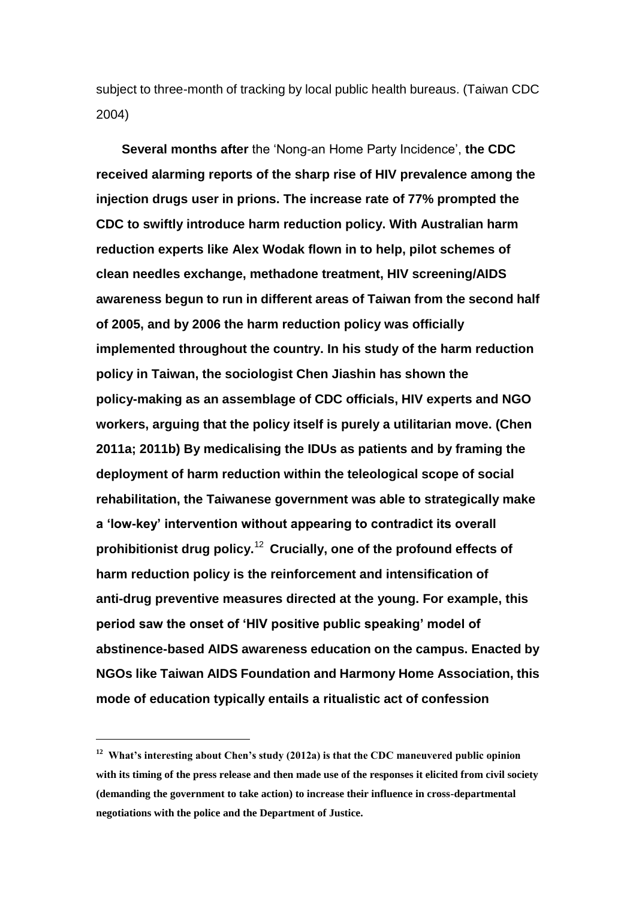subject to three-month of tracking by local public health bureaus. (Taiwan CDC 2004)

**Several months after** the 'Nong-an Home Party Incidence', **the CDC received alarming reports of the sharp rise of HIV prevalence among the injection drugs user in prions. The increase rate of 77% prompted the CDC to swiftly introduce harm reduction policy. With Australian harm reduction experts like Alex Wodak flown in to help, pilot schemes of clean needles exchange, methadone treatment, HIV screening/AIDS awareness begun to run in different areas of Taiwan from the second half of 2005, and by 2006 the harm reduction policy was officially implemented throughout the country. In his study of the harm reduction policy in Taiwan, the sociologist Chen Jiashin has shown the policy-making as an assemblage of CDC officials, HIV experts and NGO workers, arguing that the policy itself is purely a utilitarian move. (Chen 2011a; 2011b) By medicalising the IDUs as patients and by framing the deployment of harm reduction within the teleological scope of social rehabilitation, the Taiwanese government was able to strategically make a 'low-key' intervention without appearing to contradict its overall prohibitionist drug policy.**<sup>12</sup> **Crucially, one of the profound effects of harm reduction policy is the reinforcement and intensification of anti-drug preventive measures directed at the young. For example, this period saw the onset of 'HIV positive public speaking' model of abstinence-based AIDS awareness education on the campus. Enacted by NGOs like Taiwan AIDS Foundation and Harmony Home Association, this mode of education typically entails a ritualistic act of confession** 

**<sup>12</sup> What's interesting about Chen's study (2012a) is that the CDC maneuvered public opinion with its timing of the press release and then made use of the responses it elicited from civil society (demanding the government to take action) to increase their influence in cross-departmental negotiations with the police and the Department of Justice.**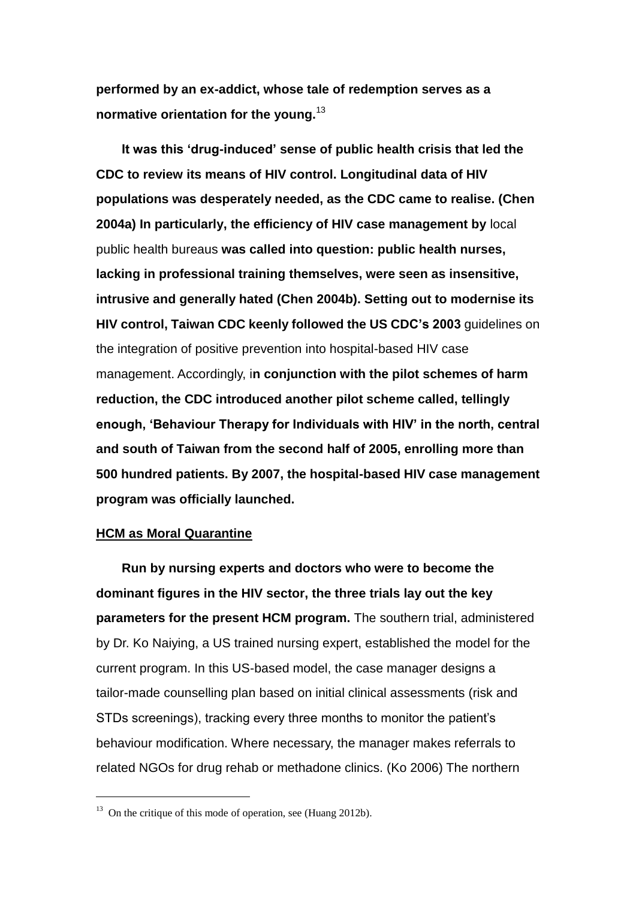**performed by an ex-addict, whose tale of redemption serves as a normative orientation for the young.**<sup>13</sup>

**It was this 'drug-induced' sense of public health crisis that led the CDC to review its means of HIV control. Longitudinal data of HIV populations was desperately needed, as the CDC came to realise. (Chen 2004a) In particularly, the efficiency of HIV case management by** local public health bureaus **was called into question: public health nurses, lacking in professional training themselves, were seen as insensitive, intrusive and generally hated (Chen 2004b). Setting out to modernise its HIV control, Taiwan CDC keenly followed the US CDC's 2003** guidelines on the integration of positive prevention into hospital-based HIV case management. Accordingly, i**n conjunction with the pilot schemes of harm reduction, the CDC introduced another pilot scheme called, tellingly enough, 'Behaviour Therapy for Individuals with HIV' in the north, central and south of Taiwan from the second half of 2005, enrolling more than 500 hundred patients. By 2007, the hospital-based HIV case management program was officially launched.** 

## **HCM as Moral Quarantine**

-

**Run by nursing experts and doctors who were to become the dominant figures in the HIV sector, the three trials lay out the key parameters for the present HCM program.** The southern trial, administered by Dr. Ko Naiying, a US trained nursing expert, established the model for the current program. In this US-based model, the case manager designs a tailor-made counselling plan based on initial clinical assessments (risk and STDs screenings), tracking every three months to monitor the patient's behaviour modification. Where necessary, the manager makes referrals to related NGOs for drug rehab or methadone clinics. (Ko 2006) The northern

<sup>&</sup>lt;sup>13</sup> On the critique of this mode of operation, see (Huang 2012b).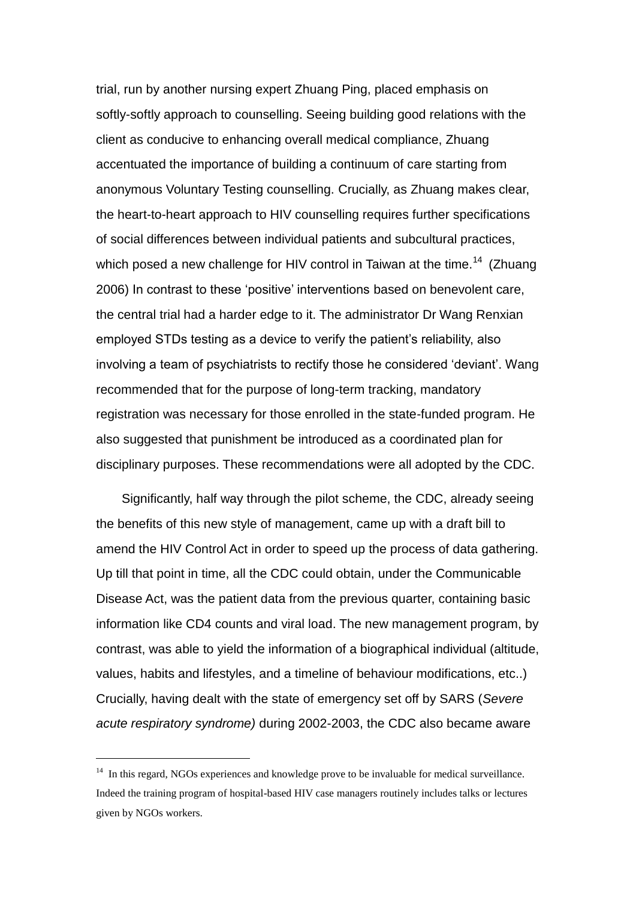trial, run by another nursing expert Zhuang Ping, placed emphasis on softly-softly approach to counselling. Seeing building good relations with the client as conducive to enhancing overall medical compliance, Zhuang accentuated the importance of building a continuum of care starting from anonymous Voluntary Testing counselling. Crucially, as Zhuang makes clear, the heart-to-heart approach to HIV counselling requires further specifications of social differences between individual patients and subcultural practices, which posed a new challenge for HIV control in Taiwan at the time.<sup>14</sup> (Zhuang 2006) In contrast to these 'positive' interventions based on benevolent care, the central trial had a harder edge to it. The administrator Dr Wang Renxian employed STDs testing as a device to verify the patient's reliability, also involving a team of psychiatrists to rectify those he considered 'deviant'. Wang recommended that for the purpose of long-term tracking, mandatory registration was necessary for those enrolled in the state-funded program. He also suggested that punishment be introduced as a coordinated plan for disciplinary purposes. These recommendations were all adopted by the CDC.

Significantly, half way through the pilot scheme, the CDC, already seeing the benefits of this new style of management, came up with a draft bill to amend the HIV Control Act in order to speed up the process of data gathering. Up till that point in time, all the CDC could obtain, under the Communicable Disease Act, was the patient data from the previous quarter, containing basic information like CD4 counts and viral load. The new management program, by contrast, was able to yield the information of a biographical individual (altitude, values, habits and lifestyles, and a timeline of behaviour modifications, etc..) Crucially, having dealt with the state of emergency set off by SARS (*Severe acute respiratory syndrome)* during 2002-2003, the CDC also became aware

 $14$  In this regard, NGOs experiences and knowledge prove to be invaluable for medical surveillance. Indeed the training program of hospital-based HIV case managers routinely includes talks or lectures given by NGOs workers.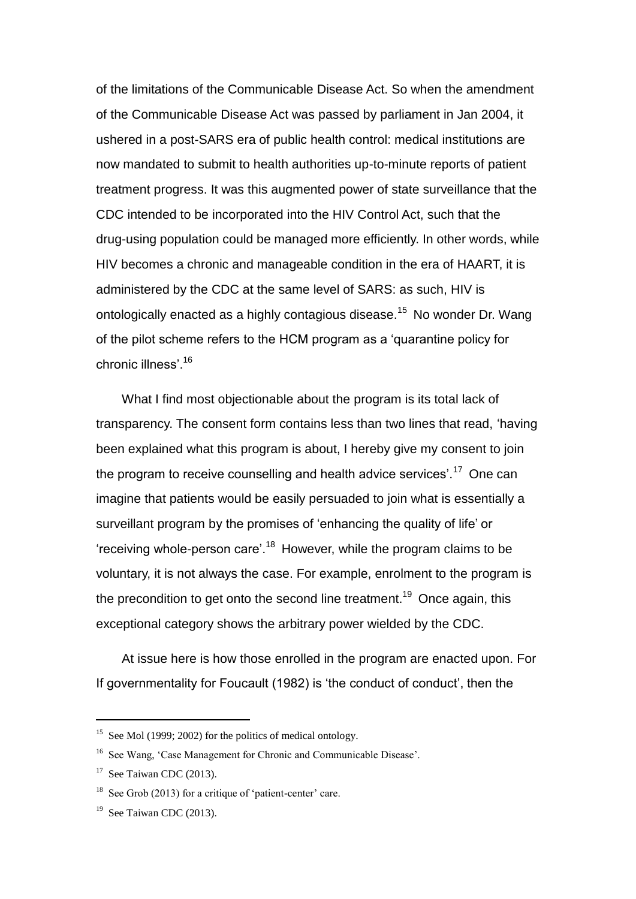of the limitations of the Communicable Disease Act. So when the amendment of the Communicable Disease Act was passed by parliament in Jan 2004, it ushered in a post-SARS era of public health control: medical institutions are now mandated to submit to health authorities up-to-minute reports of patient treatment progress. It was this augmented power of state surveillance that the CDC intended to be incorporated into the HIV Control Act, such that the drug-using population could be managed more efficiently. In other words, while HIV becomes a chronic and manageable condition in the era of HAART, it is administered by the CDC at the same level of SARS: as such, HIV is ontologically enacted as a highly contagious disease.<sup>15</sup> No wonder Dr. Wang of the pilot scheme refers to the HCM program as a 'quarantine policy for chronic illness'.<sup>16</sup>

What I find most objectionable about the program is its total lack of transparency. The consent form contains less than two lines that read, 'having been explained what this program is about, I hereby give my consent to join the program to receive counselling and health advice services'.<sup>17</sup> One can imagine that patients would be easily persuaded to join what is essentially a surveillant program by the promises of 'enhancing the quality of life' or 'receiving whole-person care'.<sup>18</sup> However, while the program claims to be voluntary, it is not always the case. For example, enrolment to the program is the precondition to get onto the second line treatment.<sup>19</sup> Once again, this exceptional category shows the arbitrary power wielded by the CDC.

At issue here is how those enrolled in the program are enacted upon. For If governmentality for Foucault (1982) is 'the conduct of conduct', then the

<sup>&</sup>lt;sup>15</sup> See Mol (1999; 2002) for the politics of medical ontology.

<sup>&</sup>lt;sup>16</sup> See Wang, 'Case Management for Chronic and Communicable Disease'.

 $17$  See Taiwan CDC (2013).

<sup>&</sup>lt;sup>18</sup> See Grob (2013) for a critique of 'patient-center' care.

 $19$  See Taiwan CDC (2013).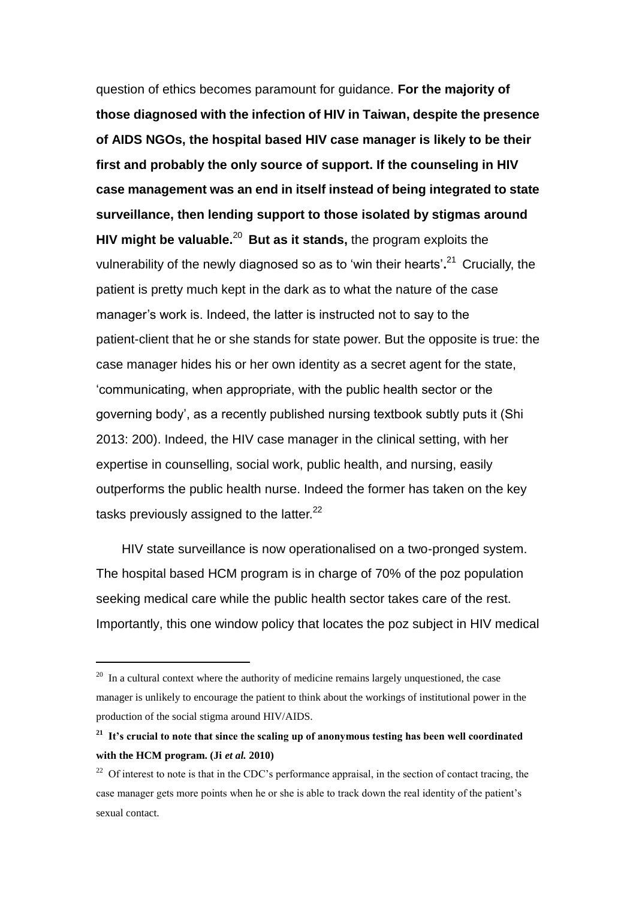question of ethics becomes paramount for guidance. **For the majority of those diagnosed with the infection of HIV in Taiwan, despite the presence of AIDS NGOs, the hospital based HIV case manager is likely to be their first and probably the only source of support. If the counseling in HIV case management was an end in itself instead of being integrated to state surveillance, then lending support to those isolated by stigmas around HIV might be valuable.**<sup>20</sup> **But as it stands,** the program exploits the vulnerability of the newly diagnosed so as to 'win their hearts'**.** <sup>21</sup> Crucially, the patient is pretty much kept in the dark as to what the nature of the case manager's work is. Indeed, the latter is instructed not to say to the patient-client that he or she stands for state power. But the opposite is true: the case manager hides his or her own identity as a secret agent for the state, 'communicating, when appropriate, with the public health sector or the governing body', as a recently published nursing textbook subtly puts it (Shi 2013: 200). Indeed, the HIV case manager in the clinical setting, with her expertise in counselling, social work, public health, and nursing, easily outperforms the public health nurse. Indeed the former has taken on the key tasks previously assigned to the latter. $^{22}$ 

HIV state surveillance is now operationalised on a two-pronged system. The hospital based HCM program is in charge of 70% of the poz population seeking medical care while the public health sector takes care of the rest. Importantly, this one window policy that locates the poz subject in HIV medical

<sup>&</sup>lt;sup>20</sup> In a cultural context where the authority of medicine remains largely unquestioned, the case manager is unlikely to encourage the patient to think about the workings of institutional power in the production of the social stigma around HIV/AIDS.

**<sup>21</sup> It's crucial to note that since the scaling up of anonymous testing has been well coordinated with the HCM program. (Ji** *et al.* **2010)**

 $22$  Of interest to note is that in the CDC's performance appraisal, in the section of contact tracing, the case manager gets more points when he or she is able to track down the real identity of the patient's sexual contact.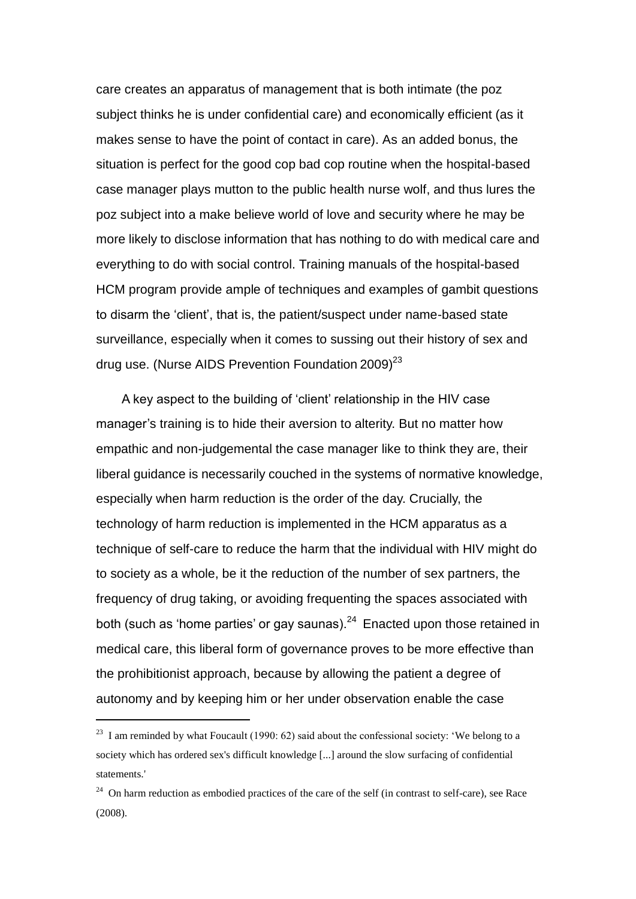care creates an apparatus of management that is both intimate (the poz subject thinks he is under confidential care) and economically efficient (as it makes sense to have the point of contact in care). As an added bonus, the situation is perfect for the good cop bad cop routine when the hospital-based case manager plays mutton to the public health nurse wolf, and thus lures the poz subject into a make believe world of love and security where he may be more likely to disclose information that has nothing to do with medical care and everything to do with social control. Training manuals of the hospital-based HCM program provide ample of techniques and examples of gambit questions to disarm the 'client', that is, the patient/suspect under name-based state surveillance, especially when it comes to sussing out their history of sex and drug use. (Nurse AIDS Prevention Foundation  $2009)^{23}$ 

A key aspect to the building of 'client' relationship in the HIV case manager's training is to hide their aversion to alterity. But no matter how empathic and non-judgemental the case manager like to think they are, their liberal guidance is necessarily couched in the systems of normative knowledge, especially when harm reduction is the order of the day. Crucially, the technology of harm reduction is implemented in the HCM apparatus as a technique of self-care to reduce the harm that the individual with HIV might do to society as a whole, be it the reduction of the number of sex partners, the frequency of drug taking, or avoiding frequenting the spaces associated with both (such as 'home parties' or gay saunas). $24$  Enacted upon those retained in medical care, this liberal form of governance proves to be more effective than the prohibitionist approach, because by allowing the patient a degree of autonomy and by keeping him or her under observation enable the case

 $^{23}$  I am reminded by what Foucault (1990: 62) said about the confessional society: 'We belong to a society which has ordered sex's difficult knowledge [...] around the slow surfacing of confidential statements.'

 $24$  On harm reduction as embodied practices of the care of the self (in contrast to self-care), see Race (2008).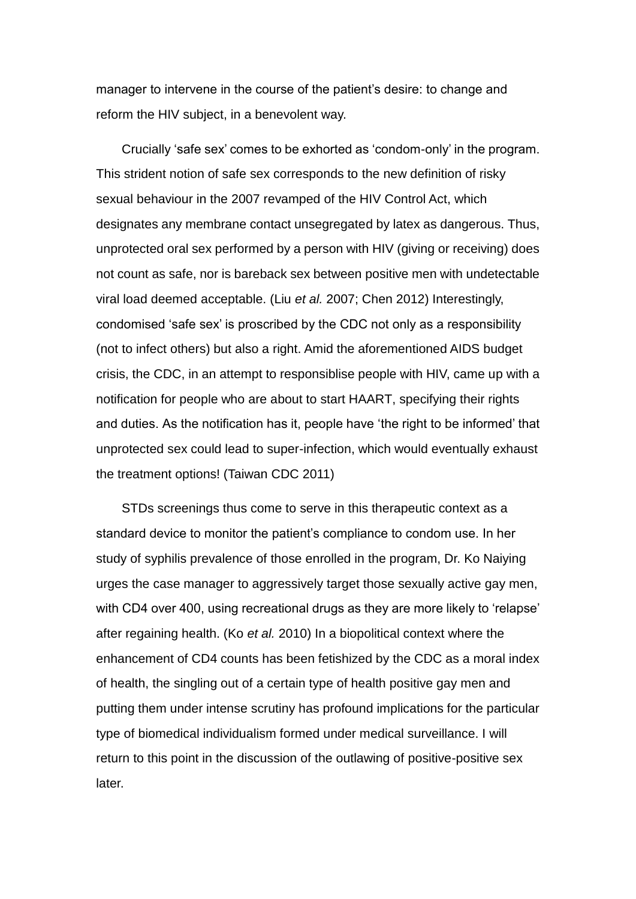manager to intervene in the course of the patient's desire: to change and reform the HIV subject, in a benevolent way.

Crucially 'safe sex' comes to be exhorted as 'condom-only' in the program. This strident notion of safe sex corresponds to the new definition of risky sexual behaviour in the 2007 revamped of the HIV Control Act, which designates any membrane contact unsegregated by latex as dangerous. Thus, unprotected oral sex performed by a person with HIV (giving or receiving) does not count as safe, nor is bareback sex between positive men with undetectable viral load deemed acceptable. (Liu *et al.* 2007; Chen 2012) Interestingly, condomised 'safe sex' is proscribed by the CDC not only as a responsibility (not to infect others) but also a right. Amid the aforementioned AIDS budget crisis, the CDC, in an attempt to responsiblise people with HIV, came up with a notification for people who are about to start HAART, specifying their rights and duties. As the notification has it, people have 'the right to be informed' that unprotected sex could lead to super-infection, which would eventually exhaust the treatment options! (Taiwan CDC 2011)

STDs screenings thus come to serve in this therapeutic context as a standard device to monitor the patient's compliance to condom use. In her study of syphilis prevalence of those enrolled in the program, Dr. Ko Naiying urges the case manager to aggressively target those sexually active gay men, with CD4 over 400, using recreational drugs as they are more likely to 'relapse' after regaining health. (Ko *et al.* 2010) In a biopolitical context where the enhancement of CD4 counts has been fetishized by the CDC as a moral index of health, the singling out of a certain type of health positive gay men and putting them under intense scrutiny has profound implications for the particular type of biomedical individualism formed under medical surveillance. I will return to this point in the discussion of the outlawing of positive-positive sex later.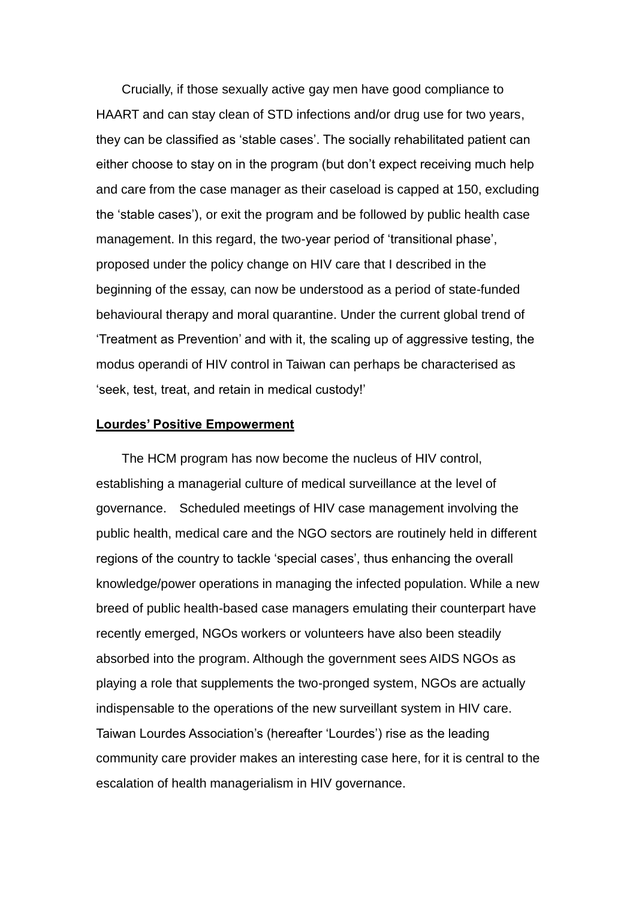Crucially, if those sexually active gay men have good compliance to HAART and can stay clean of STD infections and/or drug use for two years, they can be classified as 'stable cases'. The socially rehabilitated patient can either choose to stay on in the program (but don't expect receiving much help and care from the case manager as their caseload is capped at 150, excluding the 'stable cases'), or exit the program and be followed by public health case management. In this regard, the two-year period of 'transitional phase', proposed under the policy change on HIV care that I described in the beginning of the essay, can now be understood as a period of state-funded behavioural therapy and moral quarantine. Under the current global trend of 'Treatment as Prevention' and with it, the scaling up of aggressive testing, the modus operandi of HIV control in Taiwan can perhaps be characterised as 'seek, test, treat, and retain in medical custody!'

#### **Lourdes' Positive Empowerment**

The HCM program has now become the nucleus of HIV control, establishing a managerial culture of medical surveillance at the level of governance. Scheduled meetings of HIV case management involving the public health, medical care and the NGO sectors are routinely held in different regions of the country to tackle 'special cases', thus enhancing the overall knowledge/power operations in managing the infected population. While a new breed of public health-based case managers emulating their counterpart have recently emerged, NGOs workers or volunteers have also been steadily absorbed into the program. Although the government sees AIDS NGOs as playing a role that supplements the two-pronged system, NGOs are actually indispensable to the operations of the new surveillant system in HIV care. Taiwan Lourdes Association's (hereafter 'Lourdes') rise as the leading community care provider makes an interesting case here, for it is central to the escalation of health managerialism in HIV governance.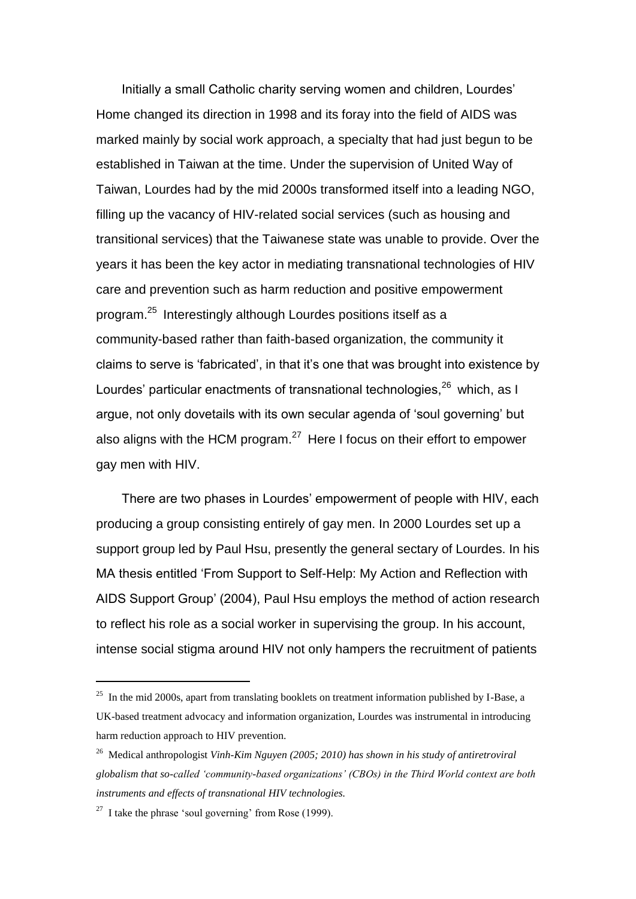Initially a small Catholic charity serving women and children, Lourdes' Home changed its direction in 1998 and its foray into the field of AIDS was marked mainly by social work approach, a specialty that had just begun to be established in Taiwan at the time. Under the supervision of United Way of Taiwan, Lourdes had by the mid 2000s transformed itself into a leading NGO, filling up the vacancy of HIV-related social services (such as housing and transitional services) that the Taiwanese state was unable to provide. Over the years it has been the key actor in mediating transnational technologies of HIV care and prevention such as harm reduction and positive empowerment program.<sup>25</sup> Interestingly although Lourdes positions itself as a community-based rather than faith-based organization, the community it claims to serve is 'fabricated', in that it's one that was brought into existence by Lourdes' particular enactments of transnational technologies,<sup>26</sup> which, as I argue, not only dovetails with its own secular agenda of 'soul governing' but also aligns with the HCM program.<sup>27</sup> Here I focus on their effort to empower gay men with HIV.

There are two phases in Lourdes' empowerment of people with HIV, each producing a group consisting entirely of gay men. In 2000 Lourdes set up a support group led by Paul Hsu, presently the general sectary of Lourdes. In his MA thesis entitled 'From Support to Self-Help: My Action and Reflection with AIDS Support Group' (2004), Paul Hsu employs the method of action research to reflect his role as a social worker in supervising the group. In his account, intense social stigma around HIV not only hampers the recruitment of patients

 $^{25}$  In the mid 2000s, apart from translating booklets on treatment information published by I-Base, a UK-based treatment advocacy and information organization, Lourdes was instrumental in introducing harm reduction approach to HIV prevention.

<sup>26</sup> Medical anthropologist *Vinh-Kim Nguyen (2005; 2010) has shown in his study of antiretroviral globalism that so-called 'community-based organizations' (CBOs) in the Third World context are both instruments and effects of transnational HIV technologies.* 

<sup>&</sup>lt;sup>27</sup> I take the phrase 'soul governing' from Rose (1999).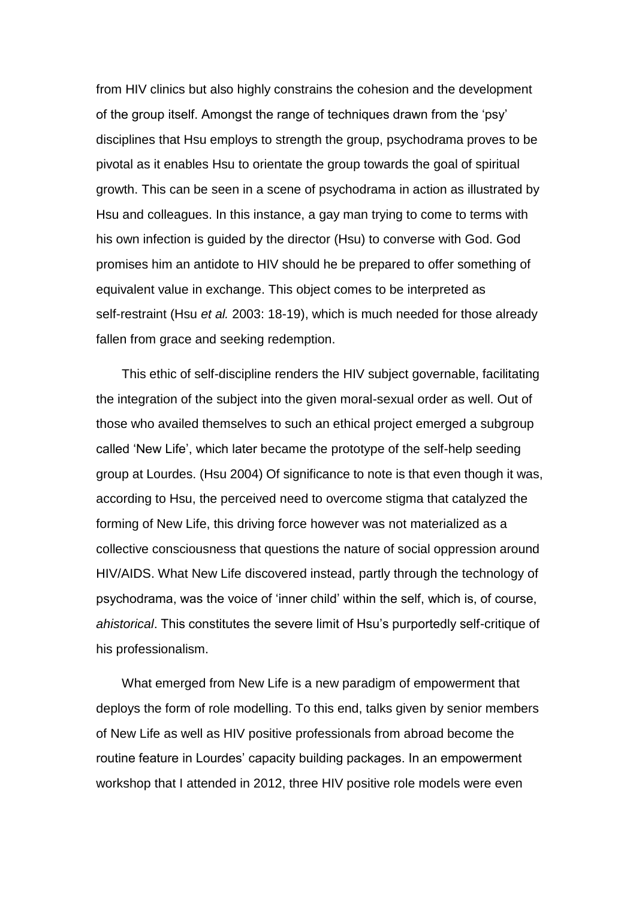from HIV clinics but also highly constrains the cohesion and the development of the group itself. Amongst the range of techniques drawn from the 'psy' disciplines that Hsu employs to strength the group, psychodrama proves to be pivotal as it enables Hsu to orientate the group towards the goal of spiritual growth. This can be seen in a scene of psychodrama in action as illustrated by Hsu and colleagues. In this instance, a gay man trying to come to terms with his own infection is guided by the director (Hsu) to converse with God. God promises him an antidote to HIV should he be prepared to offer something of equivalent value in exchange. This object comes to be interpreted as self-restraint (Hsu *et al.* 2003: 18-19), which is much needed for those already fallen from grace and seeking redemption.

This ethic of self-discipline renders the HIV subject governable, facilitating the integration of the subject into the given moral-sexual order as well. Out of those who availed themselves to such an ethical project emerged a subgroup called 'New Life', which later became the prototype of the self-help seeding group at Lourdes. (Hsu 2004) Of significance to note is that even though it was, according to Hsu, the perceived need to overcome stigma that catalyzed the forming of New Life, this driving force however was not materialized as a collective consciousness that questions the nature of social oppression around HIV/AIDS. What New Life discovered instead, partly through the technology of psychodrama, was the voice of 'inner child' within the self, which is, of course, *ahistorical*. This constitutes the severe limit of Hsu's purportedly self-critique of his professionalism.

What emerged from New Life is a new paradigm of empowerment that deploys the form of role modelling. To this end, talks given by senior members of New Life as well as HIV positive professionals from abroad become the routine feature in Lourdes' capacity building packages. In an empowerment workshop that I attended in 2012, three HIV positive role models were even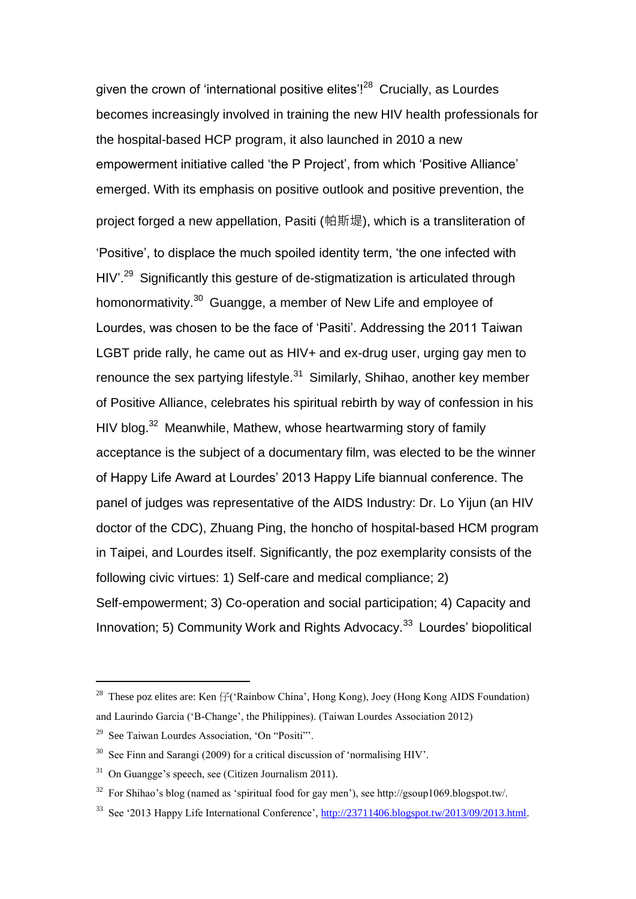given the crown of 'international positive elites'!<sup>28</sup> Crucially, as Lourdes becomes increasingly involved in training the new HIV health professionals for the hospital-based HCP program, it also launched in 2010 a new empowerment initiative called 'the P Project', from which 'Positive Alliance' emerged. With its emphasis on positive outlook and positive prevention, the project forged a new appellation, Pasiti (帕斯堤), which is a transliteration of 'Positive', to displace the much spoiled identity term, 'the one infected with HIV<sup>'.29</sup> Significantly this gesture of de-stigmatization is articulated through homonormativity.<sup>30</sup> Guangge, a member of New Life and employee of Lourdes, was chosen to be the face of 'Pasiti'. Addressing the 2011 Taiwan LGBT pride rally, he came out as HIV+ and ex-drug user, urging gay men to renounce the sex partying lifestyle. $31$  Similarly, Shihao, another key member of Positive Alliance, celebrates his spiritual rebirth by way of confession in his HIV blog.<sup>32</sup> Meanwhile, Mathew, whose heartwarming story of family acceptance is the subject of a documentary film, was elected to be the winner of Happy Life Award at Lourdes' 2013 Happy Life biannual conference. The panel of judges was representative of the AIDS Industry: Dr. Lo Yijun (an HIV doctor of the CDC), Zhuang Ping, the honcho of hospital-based HCM program in Taipei, and Lourdes itself. Significantly, the poz exemplarity consists of the following civic virtues: 1) Self-care and medical compliance; 2) Self-empowerment; 3) Co-operation and social participation; 4) Capacity and Innovation; 5) Community Work and Rights Advocacy.<sup>33</sup> Lourdes' biopolitical

<sup>&</sup>lt;sup>28</sup> These poz elites are: Ken  $\mathcal{F}$  ('Rainbow China', Hong Kong), Joey (Hong Kong AIDS Foundation) and Laurindo Garcia ('B-Change', the Philippines). (Taiwan Lourdes Association 2012)

<sup>29</sup> See Taiwan Lourdes Association, 'On "Positi"'.

 $30$  See Finn and Sarangi (2009) for a critical discussion of 'normalising HIV'.

 $31$  On Guangge's speech, see (Citizen Journalism 2011).

<sup>&</sup>lt;sup>32</sup> For Shihao's blog (named as 'spiritual food for gay men'), see http://gsoup1069.blogspot.tw/.

<sup>33</sup> See '2013 Happy Life International Conference', [http://23711406.blogspot.tw/2013/09/2013.html.](http://23711406.blogspot.tw/2013/09/2013.html)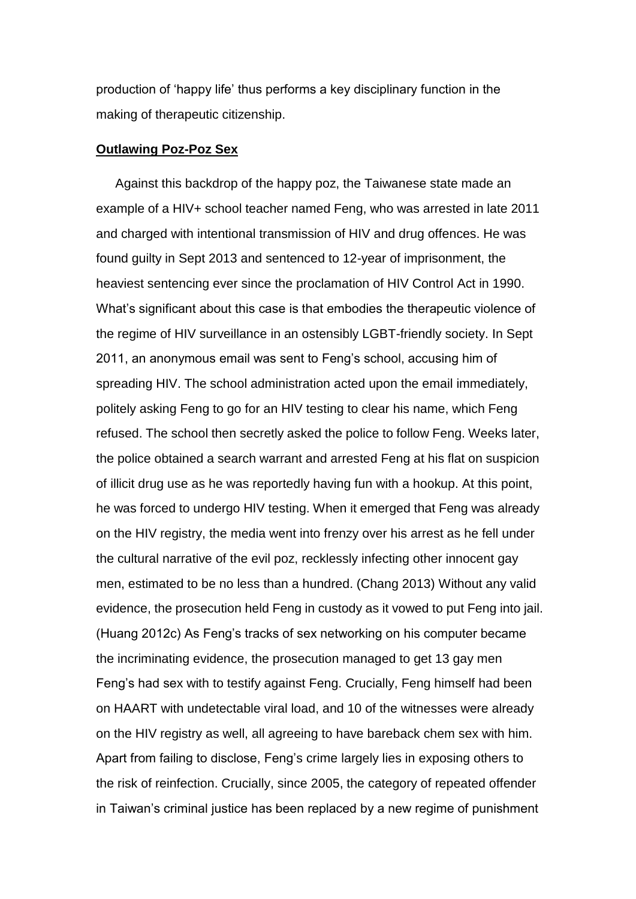production of 'happy life' thus performs a key disciplinary function in the making of therapeutic citizenship.

#### **Outlawing Poz-Poz Sex**

Against this backdrop of the happy poz, the Taiwanese state made an example of a HIV+ school teacher named Feng, who was arrested in late 2011 and charged with intentional transmission of HIV and drug offences. He was found guilty in Sept 2013 and sentenced to 12-year of imprisonment, the heaviest sentencing ever since the proclamation of HIV Control Act in 1990. What's significant about this case is that embodies the therapeutic violence of the regime of HIV surveillance in an ostensibly LGBT-friendly society. In Sept 2011, an anonymous email was sent to Feng's school, accusing him of spreading HIV. The school administration acted upon the email immediately, politely asking Feng to go for an HIV testing to clear his name, which Feng refused. The school then secretly asked the police to follow Feng. Weeks later, the police obtained a search warrant and arrested Feng at his flat on suspicion of illicit drug use as he was reportedly having fun with a hookup. At this point, he was forced to undergo HIV testing. When it emerged that Feng was already on the HIV registry, the media went into frenzy over his arrest as he fell under the cultural narrative of the evil poz, recklessly infecting other innocent gay men, estimated to be no less than a hundred. (Chang 2013) Without any valid evidence, the prosecution held Feng in custody as it vowed to put Feng into jail. (Huang 2012c) As Feng's tracks of sex networking on his computer became the incriminating evidence, the prosecution managed to get 13 gay men Feng's had sex with to testify against Feng. Crucially, Feng himself had been on HAART with undetectable viral load, and 10 of the witnesses were already on the HIV registry as well, all agreeing to have bareback chem sex with him. Apart from failing to disclose, Feng's crime largely lies in exposing others to the risk of reinfection. Crucially, since 2005, the category of repeated offender in Taiwan's criminal justice has been replaced by a new regime of punishment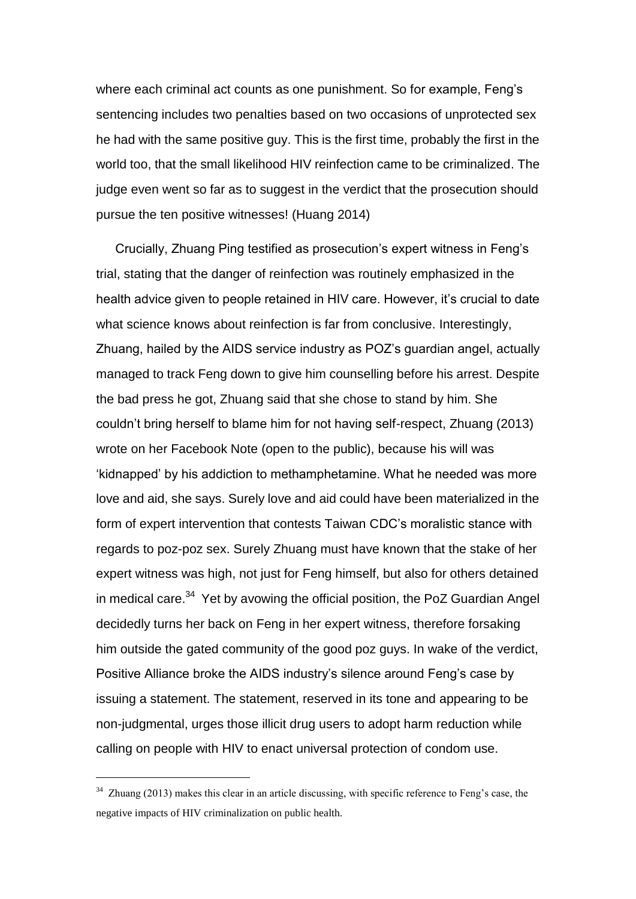where each criminal act counts as one punishment. So for example, Feng's sentencing includes two penalties based on two occasions of unprotected sex he had with the same positive guy. This is the first time, probably the first in the world too, that the small likelihood HIV reinfection came to be criminalized. The judge even went so far as to suggest in the verdict that the prosecution should pursue the ten positive witnesses! (Huang 2014)

Crucially, Zhuang Ping testified as prosecution's expert witness in Feng's trial, stating that the danger of reinfection was routinely emphasized in the health advice given to people retained in HIV care. However, it's crucial to date what science knows about reinfection is far from conclusive. Interestingly, Zhuang, hailed by the AIDS service industry as POZ's guardian angel, actually managed to track Feng down to give him counselling before his arrest. Despite the bad press he got, Zhuang said that she chose to stand by him. She couldn't bring herself to blame him for not having self-respect, Zhuang (2013) wrote on her Facebook Note (open to the public), because his will was 'kidnapped' by his addiction to methamphetamine. What he needed was more love and aid, she says. Surely love and aid could have been materialized in the form of expert intervention that contests Taiwan CDC's moralistic stance with regards to poz-poz sex. Surely Zhuang must have known that the stake of her expert witness was high, not just for Feng himself, but also for others detained in medical care. $34$  Yet by avowing the official position, the PoZ Guardian Angel decidedly turns her back on Feng in her expert witness, therefore forsaking him outside the gated community of the good poz guys. In wake of the verdict, Positive Alliance broke the AIDS industry's silence around Feng's case by issuing a statement. The statement, reserved in its tone and appearing to be non-judgmental, urges those illicit drug users to adopt harm reduction while calling on people with HIV to enact universal protection of condom use.

<sup>&</sup>lt;sup>34</sup> Zhuang (2013) makes this clear in an article discussing, with specific reference to Feng's case, the negative impacts of HIV criminalization on public health.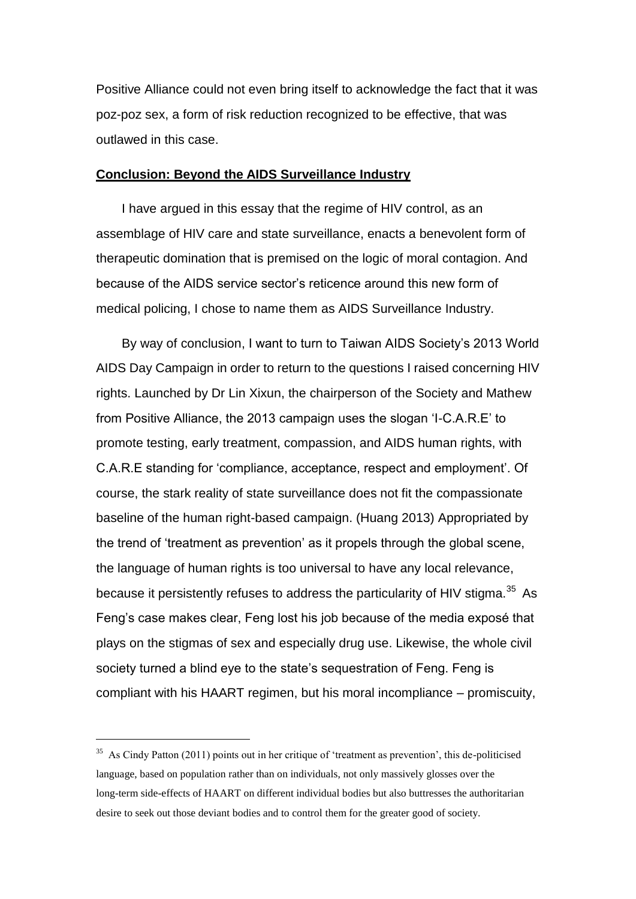Positive Alliance could not even bring itself to acknowledge the fact that it was poz-poz sex, a form of risk reduction recognized to be effective, that was outlawed in this case.

# **Conclusion: Beyond the AIDS Surveillance Industry**

I have argued in this essay that the regime of HIV control, as an assemblage of HIV care and state surveillance, enacts a benevolent form of therapeutic domination that is premised on the logic of moral contagion. And because of the AIDS service sector's reticence around this new form of medical policing, I chose to name them as AIDS Surveillance Industry.

By way of conclusion, I want to turn to Taiwan AIDS Society's 2013 World AIDS Day Campaign in order to return to the questions I raised concerning HIV rights. Launched by Dr Lin Xixun, the chairperson of the Society and Mathew from Positive Alliance, the 2013 campaign uses the slogan 'I-C.A.R.E' to promote testing, early treatment, compassion, and AIDS human rights, with C.A.R.E standing for 'compliance, acceptance, respect and employment'. Of course, the stark reality of state surveillance does not fit the compassionate baseline of the human right-based campaign. (Huang 2013) Appropriated by the trend of 'treatment as prevention' as it propels through the global scene, the language of human rights is too universal to have any local relevance, because it persistently refuses to address the particularity of HIV stigma.<sup>35</sup> As Feng's case makes clear, Feng lost his job because of the media exposé that plays on the stigmas of sex and especially drug use. Likewise, the whole civil society turned a blind eye to the state's sequestration of Feng. Feng is compliant with his HAART regimen, but his moral incompliance – promiscuity,

<sup>&</sup>lt;sup>35</sup> As Cindy Patton (2011) points out in her critique of 'treatment as prevention', this de-politicised language, based on population rather than on individuals, not only massively glosses over the long-term side-effects of HAART on different individual bodies but also buttresses the authoritarian desire to seek out those deviant bodies and to control them for the greater good of society.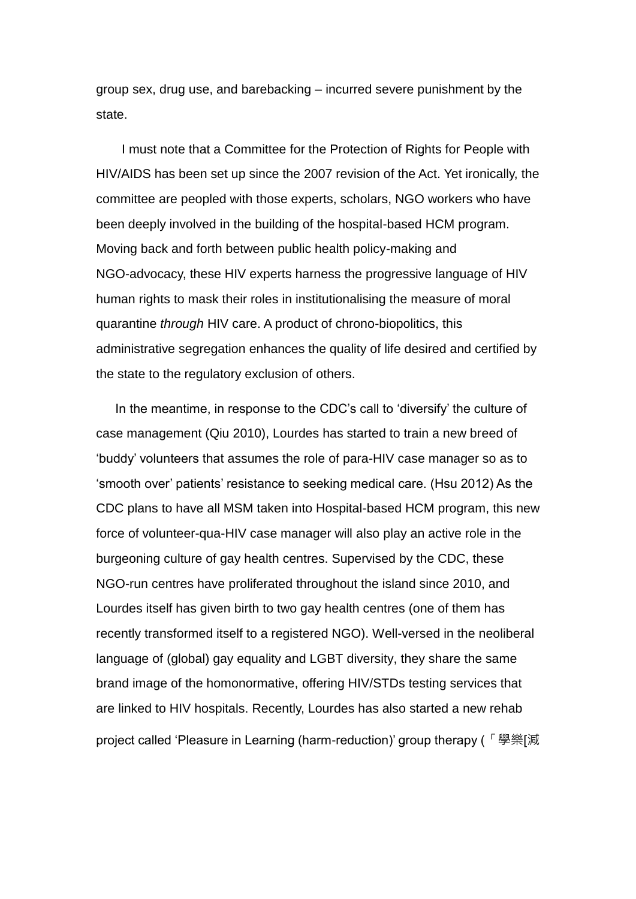group sex, drug use, and barebacking – incurred severe punishment by the state.

I must note that a Committee for the Protection of Rights for People with HIV/AIDS has been set up since the 2007 revision of the Act. Yet ironically, the committee are peopled with those experts, scholars, NGO workers who have been deeply involved in the building of the hospital-based HCM program. Moving back and forth between public health policy-making and NGO-advocacy, these HIV experts harness the progressive language of HIV human rights to mask their roles in institutionalising the measure of moral quarantine *through* HIV care. A product of chrono-biopolitics, this administrative segregation enhances the quality of life desired and certified by the state to the regulatory exclusion of others.

In the meantime, in response to the CDC's call to 'diversify' the culture of case management (Qiu 2010), Lourdes has started to train a new breed of 'buddy' volunteers that assumes the role of para-HIV case manager so as to 'smooth over' patients' resistance to seeking medical care. (Hsu 2012) As the CDC plans to have all MSM taken into Hospital-based HCM program, this new force of volunteer-qua-HIV case manager will also play an active role in the burgeoning culture of gay health centres. Supervised by the CDC, these NGO-run centres have proliferated throughout the island since 2010, and Lourdes itself has given birth to two gay health centres (one of them has recently transformed itself to a registered NGO). Well-versed in the neoliberal language of (global) gay equality and LGBT diversity, they share the same brand image of the homonormative, offering HIV/STDs testing services that are linked to HIV hospitals. Recently, Lourdes has also started a new rehab project called 'Pleasure in Learning (harm-reduction)' group therapy (「學樂[減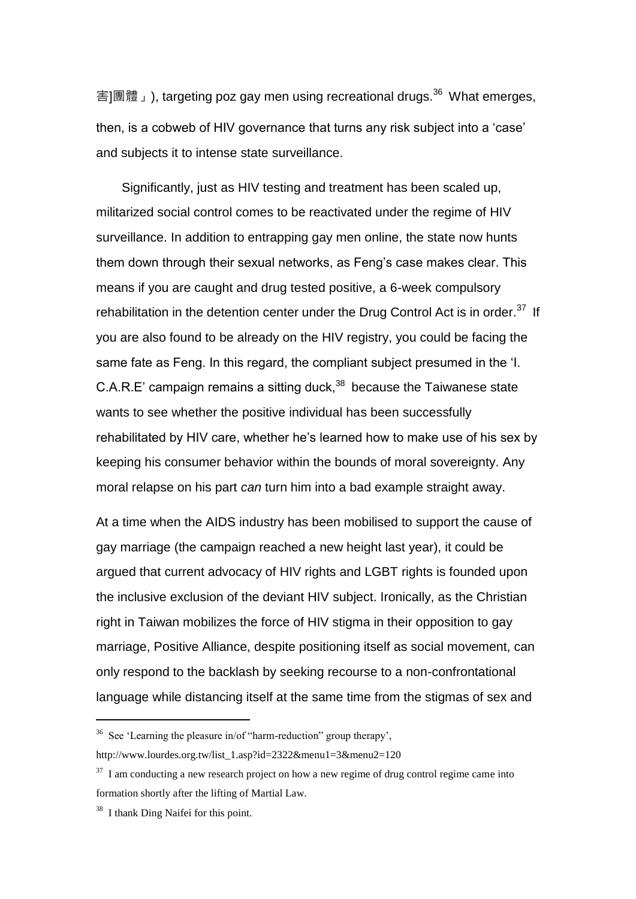害]團體」), targeting poz gay men using recreational drugs.<sup>36</sup> What emerges, then, is a cobweb of HIV governance that turns any risk subject into a 'case' and subjects it to intense state surveillance.

Significantly, just as HIV testing and treatment has been scaled up, militarized social control comes to be reactivated under the regime of HIV surveillance. In addition to entrapping gay men online, the state now hunts them down through their sexual networks, as Feng's case makes clear. This means if you are caught and drug tested positive, a 6-week compulsory rehabilitation in the detention center under the Drug Control Act is in order.<sup>37</sup> If you are also found to be already on the HIV registry, you could be facing the same fate as Feng. In this regard, the compliant subject presumed in the 'I.  $C.A.R.E'$  campaign remains a sitting duck, $38$  because the Taiwanese state wants to see whether the positive individual has been successfully rehabilitated by HIV care, whether he's learned how to make use of his sex by keeping his consumer behavior within the bounds of moral sovereignty. Any moral relapse on his part *can* turn him into a bad example straight away.

At a time when the AIDS industry has been mobilised to support the cause of gay marriage (the campaign reached a new height last year), it could be argued that current advocacy of HIV rights and LGBT rights is founded upon the inclusive exclusion of the deviant HIV subject. Ironically, as the Christian right in Taiwan mobilizes the force of HIV stigma in their opposition to gay marriage, Positive Alliance, despite positioning itself as social movement, can only respond to the backlash by seeking recourse to a non-confrontational language while distancing itself at the same time from the stigmas of sex and

 $36$  See 'Learning the pleasure in/of "harm-reduction" group therapy', http://www.lourdes.org.tw/list\_1.asp?id=2322&menu1=3&menu2=120

 $37$  I am conducting a new research project on how a new regime of drug control regime came into formation shortly after the lifting of Martial Law.

<sup>&</sup>lt;sup>38</sup> I thank Ding Naifei for this point.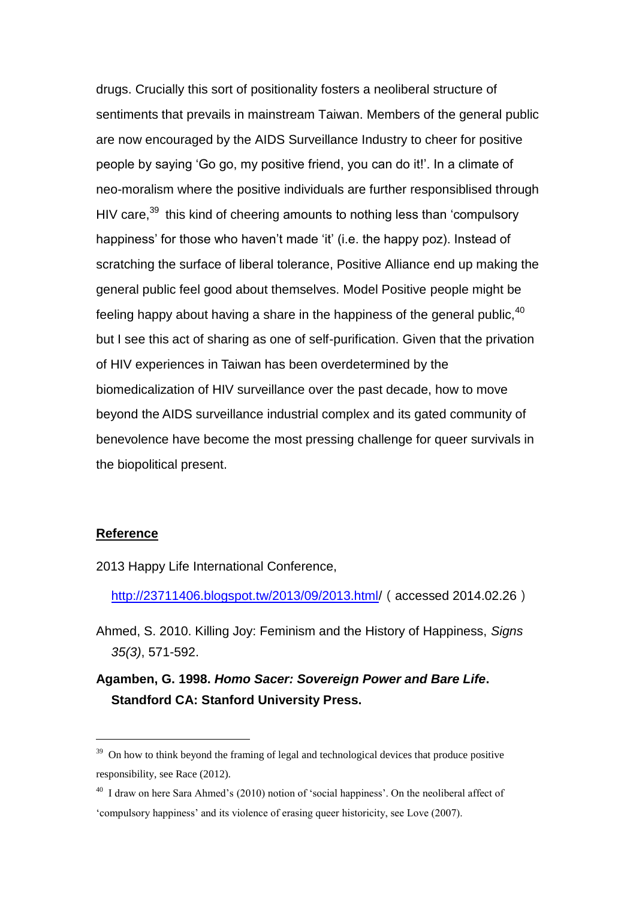drugs. Crucially this sort of positionality fosters a neoliberal structure of sentiments that prevails in mainstream Taiwan. Members of the general public are now encouraged by the AIDS Surveillance Industry to cheer for positive people by saying 'Go go, my positive friend, you can do it!'. In a climate of neo-moralism where the positive individuals are further responsiblised through HIV care,  $39$  this kind of cheering amounts to nothing less than 'compulsory happiness' for those who haven't made 'it' (i.e. the happy poz). Instead of scratching the surface of liberal tolerance, Positive Alliance end up making the general public feel good about themselves. Model Positive people might be feeling happy about having a share in the happiness of the general public. $40$ but I see this act of sharing as one of self-purification. Given that the privation of HIV experiences in Taiwan has been overdetermined by the biomedicalization of HIV surveillance over the past decade, how to move beyond the AIDS surveillance industrial complex and its gated community of benevolence have become the most pressing challenge for queer survivals in the biopolitical present.

#### **Reference**

-

2013 Happy Life International Conference,

[http://23711406.blogspot.tw/2013/09/2013.html/](http://23711406.blogspot.tw/2013/09/2013.html)(accessed 2014.02.26)

Ahmed, S. 2010. Killing Joy: Feminism and the History of Happiness, *Signs 35(3)*, 571-592.

**Agamben, G. 1998.** *Homo Sacer: Sovereign Power and Bare Life***. Standford CA: Stanford University Press.**

 $39$  On how to think beyond the framing of legal and technological devices that produce positive responsibility, see Race (2012).

<sup>&</sup>lt;sup>40</sup> I draw on here Sara Ahmed's (2010) notion of 'social happiness'. On the neoliberal affect of 'compulsory happiness' and its violence of erasing queer historicity, see Love (2007).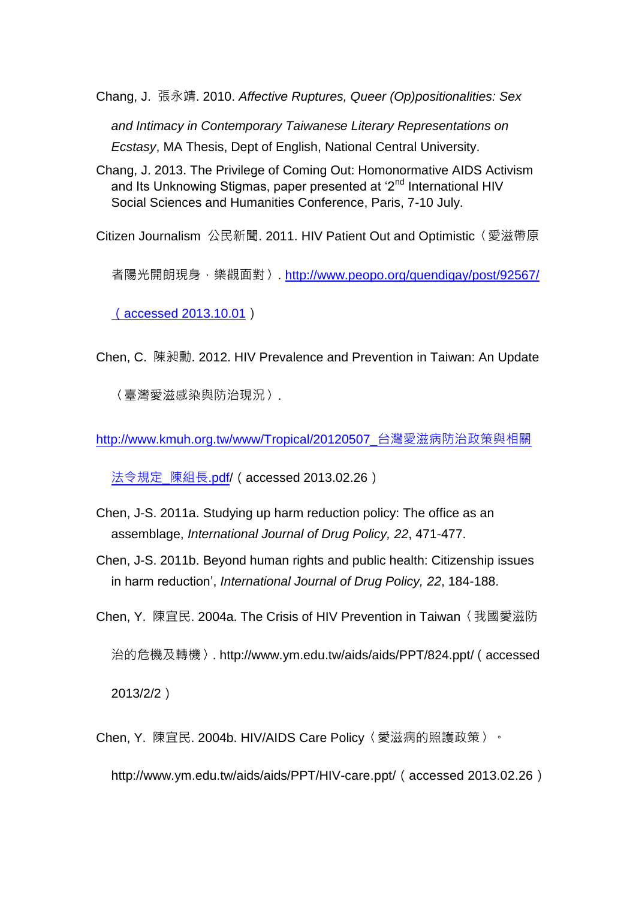Chang, J. 張永靖. 2010. *Affective Ruptures, Queer (Op)positionalities: Sex* 

*and Intimacy in Contemporary Taiwanese Literary Representations on Ecstasy*, MA Thesis, Dept of English, National Central University.

Chang, J. 2013. The Privilege of Coming Out: Homonormative AIDS Activism and Its Unknowing Stigmas, paper presented at '2<sup>nd</sup> International HIV Social Sciences and Humanities Conference, Paris, 7-10 July.

Citizen Journalism 公民新聞. 2011. HIV Patient Out and Optimistic〈愛滋帶原

者陽光開朗現身,樂觀面對〉. [http://www.peopo.org/quendigay/post/92567/](http://www.peopo.org/quendigay/post/92567/（accessed%202013.10.01)

([accessed 2013.10.01](http://www.peopo.org/quendigay/post/92567/（accessed%202013.10.01))

Chen, C. 陳昶勳. 2012. HIV Prevalence and Prevention in Taiwan: An Update

〈臺灣愛滋感染與防治現況〉.

[http://www.kmuh.org.tw/www/Tropical/20120507\\_](http://www.kmuh.org.tw/www/Tropical/20120507_台灣愛滋病防治政策與相關法令規定_陳組長.pdf)台灣愛滋病防治政策與相關

[法令規定](http://www.kmuh.org.tw/www/Tropical/20120507_台灣愛滋病防治政策與相關法令規定_陳組長.pdf)\_陳組長.pdf/(accessed 2013.02.26)

- Chen, J-S. 2011a. Studying up harm reduction policy: The office as an assemblage, *International Journal of Drug Policy, 22*, 471-477.
- Chen, J-S. 2011b. Beyond human rights and public health: Citizenship issues in harm reduction', *International Journal of Drug Policy, 22*, 184-188.
- Chen, Y. 陳宜民. 2004a. The Crisis of HIV Prevention in Taiwan〈我國愛滋防 治的危機及轉機〉. [http://www.ym.edu.tw/aids/aids/PPT/824.ppt/](http://www.ym.edu.tw/aids/aids/PPT/824.ppt)(accessed

2013/2/2)

Chen, Y. 陳宜民. 2004b. HIV/AIDS Care Policy〈愛滋病的照護政策〉。

[http://www.ym.edu.tw/aids/aids/PPT/HIV-care.ppt/](http://www.ym.edu.tw/aids/aids/PPT/HIV-care.ppt)(accessed 2013.02.26)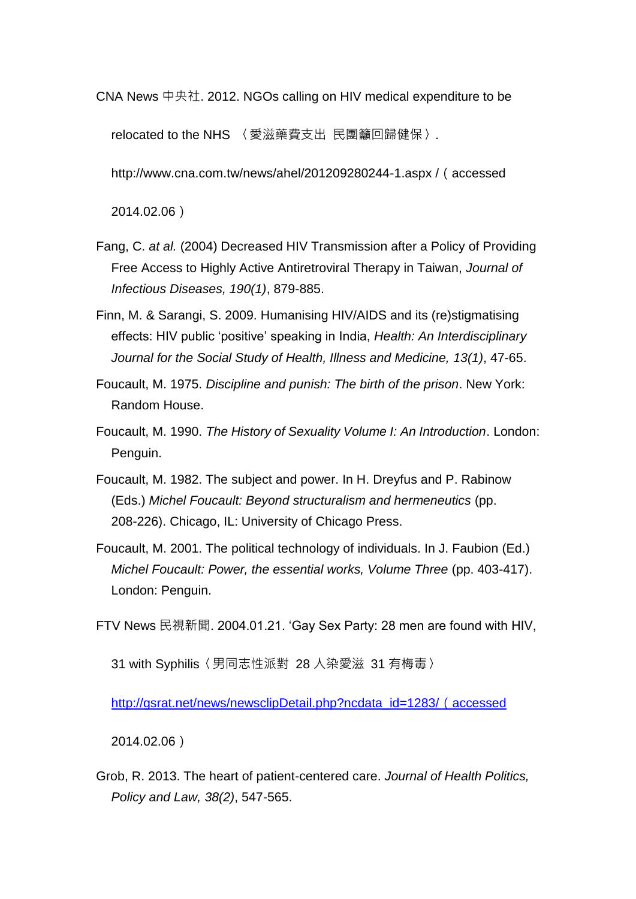CNA News 中央社. 2012. NGOs calling on HIV medical expenditure to be

relocated to the NHS 〈愛滋藥費支出 民團籲回歸健保〉.

http://www.cna.com.tw/news/ahel/201209280244-1.aspx / (accessed

2014.02.06)

- Fang, C. *at al.* (2004) Decreased HIV Transmission after a Policy of Providing Free Access to Highly Active Antiretroviral Therapy in Taiwan, *Journal of Infectious Diseases, 190(1)*, 879-885.
- Finn, M. & Sarangi, S. 2009. Humanising HIV/AIDS and its (re)stigmatising effects: HIV public 'positive' speaking in India, *Health: An Interdisciplinary Journal for the Social Study of Health, Illness and Medicine, 13(1)*, 47-65.
- Foucault, M. 1975. *Discipline and punish: The birth of the prison*. New York: Random House.
- Foucault, M. 1990. *The History of Sexuality Volume I: An Introduction*. London: Penguin.
- Foucault, M. 1982. The subject and power. In H. Dreyfus and P. Rabinow (Eds.) *Michel Foucault: Beyond structuralism and hermeneutics* (pp. 208-226). Chicago, IL: University of Chicago Press.
- Foucault, M. 2001. The political technology of individuals. In J. Faubion (Ed.) *Michel Foucault: Power, the essential works, Volume Three* (pp. 403-417). London: Penguin.

FTV News 民視新聞. 2004.01.21. 'Gay Sex Party: 28 men are found with HIV,

31 with Syphilis〈男同志性派對 28 人染愛滋 31 有梅毒〉

[http://gsrat.net/news/newsclipDetail.php?ncdata\\_id=1283/](http://gsrat.net/news/newsclipDetail.php?ncdata_id=1283/（accessed) (accessed

2014.02.06)

Grob, R. 2013. The heart of patient-centered care. *Journal of Health Politics, Policy and Law, 38(2)*, 547-565.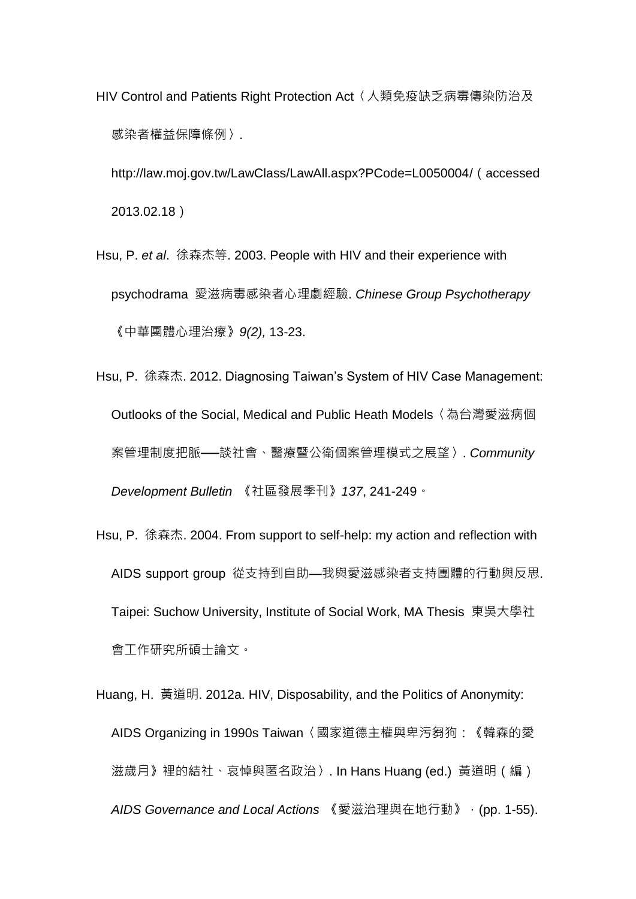HIV Control and Patients Right Protection Act〈人類免疫缺乏病毒傳染防治及 感染者權益保障條例〉.

[http://law.moj.gov.tw/LawClass/LawAll.aspx?PCode=L0050004/](http://law.moj.gov.tw/LawClass/LawAll.aspx?PCode=L0050004)(accessed 2013.02.18)

- Hsu, P. *et al*. 徐森杰等. 2003. People with HIV and their experience with psychodrama 愛滋病毒感染者心理劇經驗. *Chinese Group Psychotherapy*  《中華團體心理治療》*9(2),* 13-23.
- Hsu, P. 徐森杰. 2012. Diagnosing Taiwan's System of HIV Case Management: Outlooks of the Social, Medical and Public Heath Models〈為台灣愛滋病個 案管理制度把脈──談社會、醫療暨公衛個案管理模式之展望〉. *Community Development Bulletin* 《社區發展季刊》*137*, 241-249。
- Hsu, P. 徐森杰. 2004. From support to self-help: my action and reflection with AIDS support group 從支持到自助—我與愛滋感染者支持團體的行動與反思. Taipei: Suchow University, Institute of Social Work, MA Thesis 東吳大學社 會工作研究所碩士論文。
- Huang, H. 黃道明. 2012a. HIV, Disposability, and the Politics of Anonymity: AIDS Organizing in 1990s Taiwan〈國家道德主權與卑污芻狗:《韓森的愛 滋歲月》裡的結社、哀悼與匿名政治〉. In Hans Huang (ed.) 黃道明(編) *AIDS Governance and Local Actions* 《愛滋治理與在地行動》,(pp. 1-55).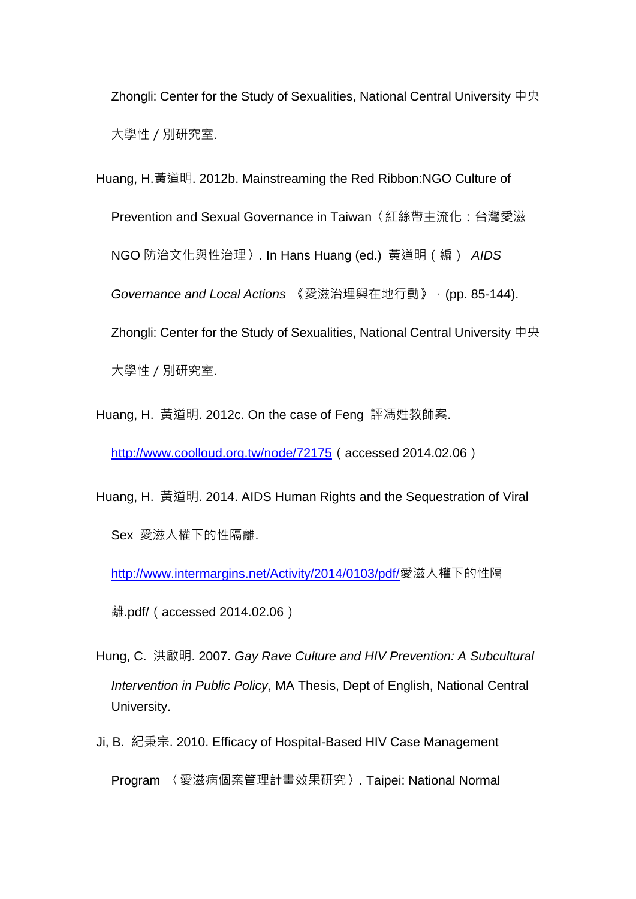Zhongli: Center for the Study of Sexualities, National Central University 中央 大學性/別研究室.

Huang, H.黃道明. 2012b. Mainstreaming the Red Ribbon:NGO Culture of Prevention and Sexual Governance in Taiwan〈紅絲帶主流化:台灣愛滋 NGO 防治文化與性治理〉. In Hans Huang (ed.) 黃道明(編) *AIDS Governance and Local Actions* 《愛滋治理與在地行動》,(pp. 85-144). Zhongli: Center for the Study of Sexualities, National Central University 中央 大學性/別研究室.

Huang, H. 黃道明. 2012c. On the case of Feng 評馮姓教師案.

<http://www.coolloud.org.tw/node/72175> (accessed 2014.02.06)

Huang, H. 黃道明, 2014. AIDS Human Rights and the Sequestration of Viral Sex 愛滋人權下的性隔離.

<http://www.intermargins.net/Activity/2014/0103/pdf/>愛滋人權下的性隔

離.pdf/(accessed 2014.02.06)

Hung, C. 洪啟明. 2007. *Gay Rave Culture and HIV Prevention: A Subcultural Intervention in Public Policy*, MA Thesis, Dept of English, National Central University.

Ji, B. 紀秉宗. 2010. Efficacy of Hospital-Based HIV Case Management

Program 〈愛滋病個案管理計畫效果研究〉. Taipei: National Normal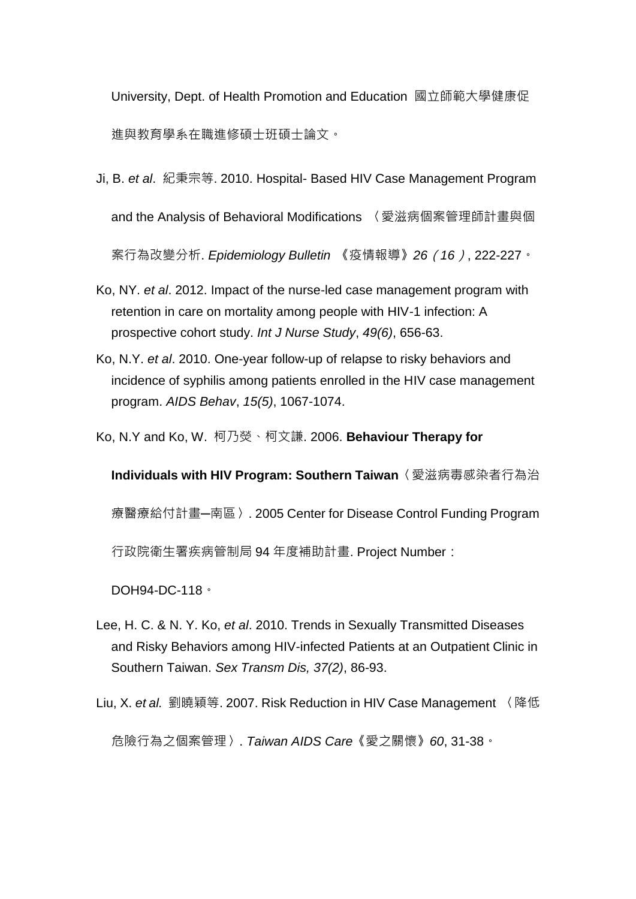University, Dept. of Health Promotion and Education 國立師範大學健康促 進與教育學系在職進修碩士班碩士論文。

- Ji, B. *et al*. 紀秉宗等. 2010. Hospital- Based HIV Case Management Program and the Analysis of Behavioral Modifications 〈愛滋病個案管理師計畫與個 案行為改變分析. *Epidemiology Bulletin* 《疫情報導》*26*(*16*), 222-227。
- Ko, NY. *et al*. 2012. Impact of the nurse-led case management program with retention in care on mortality among people with HIV-1 infection: A prospective cohort study. *Int J Nurse Study*, *49(6)*, 656-63.
- Ko, N.Y. *et al*. 2010. One-year follow-up of relapse to risky behaviors and incidence of syphilis among patients enrolled in the HIV case management program. *AIDS Behav*, *15(5)*, 1067-1074.
- Ko, N.Y and Ko, W. 柯乃熒、柯文謙. 2006. **Behaviour Therapy for**

**Individuals with HIV Program: Southern Taiwan**〈愛滋病毒感染者行為治 療醫療給付計畫─南區〉. 2005 Center for Disease Control Funding Program 行政院衛生署疾病管制局 94 年度補助計畫. Project Number:

DOH94-DC-118。

Lee, H. C. & N. Y. Ko, *et al*. 2010. Trends in Sexually Transmitted Diseases and Risky Behaviors among HIV-infected Patients at an Outpatient Clinic in Southern Taiwan. *Sex Transm Dis, 37(2)*, 86-93.

Liu, X. *et al.* 劉曉穎等. 2007. Risk Reduction in HIV Case Management 〈降低

危險行為之個案管理〉. *Taiwan AIDS Care*《愛之關懷》*60*, 31-38。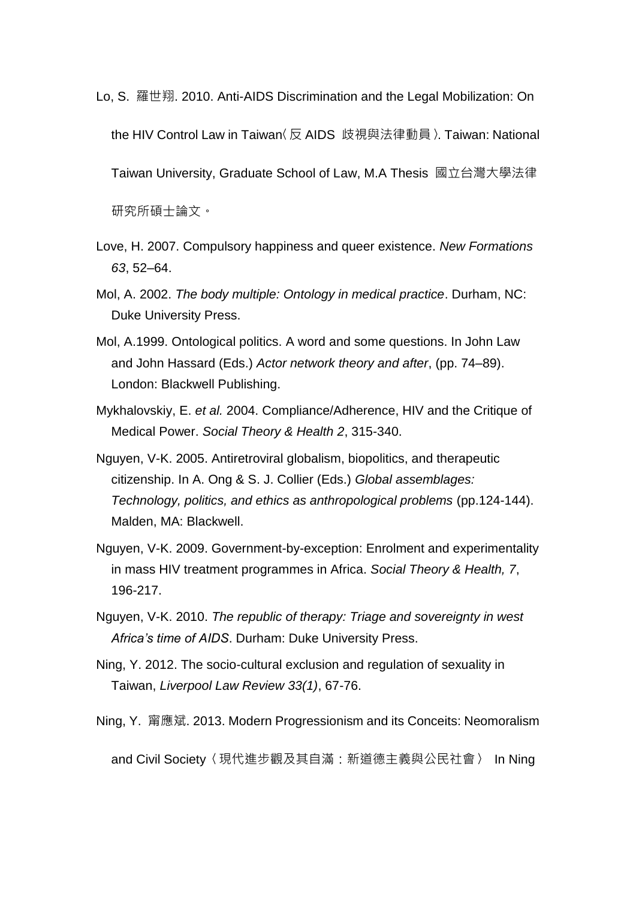- Lo, S. 羅世翔. 2010. Anti-AIDS Discrimination and the Legal Mobilization: On the HIV Control Law in Taiwan〈反 AIDS 歧視與法律動員〉. Taiwan: National Taiwan University, Graduate School of Law, M.A Thesis 國立台灣大學法律 研究所碩士論文。
- Love, H. 2007. Compulsory happiness and queer existence. *New Formations 63*, 52–64.
- Mol, A. 2002. *The body multiple: Ontology in medical practice*. Durham, NC: Duke University Press.
- Mol, A.1999. Ontological politics. A word and some questions. In John Law and John Hassard (Eds.) *Actor network theory and after*, (pp. 74–89). London: Blackwell Publishing.
- Mykhalovskiy, E. *et al.* 2004. Compliance/Adherence, HIV and the Critique of Medical Power. *Social Theory & Health 2*, 315-340.
- Nguyen, V-K. 2005. Antiretroviral globalism, biopolitics, and therapeutic citizenship. In A. Ong & S. J. Collier (Eds.) *Global assemblages: Technology, politics, and ethics as anthropological problems* (pp.124-144). Malden, MA: Blackwell.
- Nguyen, V-K. 2009. Government-by-exception: Enrolment and experimentality in mass HIV treatment programmes in Africa. *Social Theory & Health, 7*, 196-217.
- Nguyen, V-K. 2010. *The republic of therapy: Triage and sovereignty in west Africa's time of AIDS*. Durham: Duke University Press.
- Ning, Y. 2012. The socio-cultural exclusion and regulation of sexuality in Taiwan, *Liverpool Law Review 33(1)*, 67-76.
- Ning, Y. 甯應斌. 2013. Modern Progressionism and its Conceits: Neomoralism

and Civil Society〈現代進步觀及其自滿:新道德主義與公民社會〉 In Ning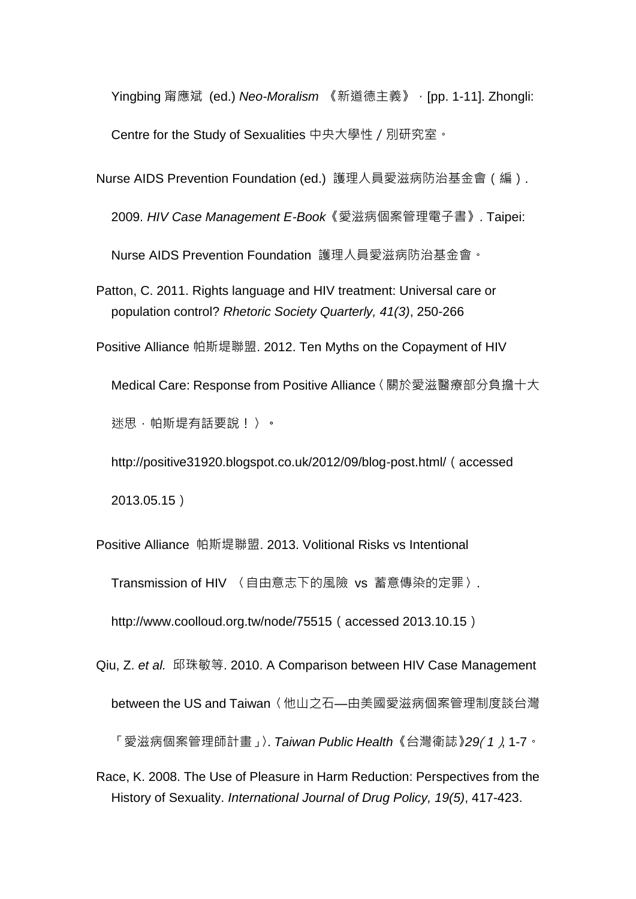Yingbing 甯應斌 (ed.) *Neo-Moralism* 《新道德主義》,[pp. 1-11]. Zhongli: Centre for the Study of Sexualities 中央大學性/別研究室。

Nurse AIDS Prevention Foundation (ed.) 護理人員愛滋病防治基金會(編).

2009. *HIV Case Management E-Book*《愛滋病個案管理電子書》. Taipei:

Nurse AIDS Prevention Foundation 護理人員愛滋病防治基金會。

Patton, C. 2011. Rights language and HIV treatment: Universal care or population control? *Rhetoric Society Quarterly, 41(3)*, 250-266

Positive Alliance 帕斯堤聯盟. 2012. Ten Myths on the Copayment of HIV

Medical Care: Response from Positive Alliance〈關於愛滋醫療部分負擔十大

迷思,帕斯堤有話要說!〉。

[http://positive31920.blogspot.co.uk/2012/09/blog-post.html/](http://positive31920.blogspot.co.uk/2012/09/blog-post.html)(accessed 2013.05.15)

Positive Alliance 帕斯堤聯盟. 2013. Volitional Risks vs Intentional Transmission of HIV 〈自由意志下的風險 vs 蓄意傳染的定罪〉. http://www.coolloud.org.tw/node/75515(accessed 2013.10.15)

Qiu, Z. *et al.* 邱珠敏等. 2010. A Comparison between HIV Case Management

between the US and Taiwan〈他山之石—由美國愛滋病個案管理制度談台灣

「愛滋病個案管理師計畫」〉. *Taiwan Public Health* 《台灣衛誌》*29*(*1*), 1-7。

Race, K. 2008. The Use of Pleasure in Harm Reduction: Perspectives from the History of Sexuality. *International Journal of Drug Policy, 19(5)*, 417-423.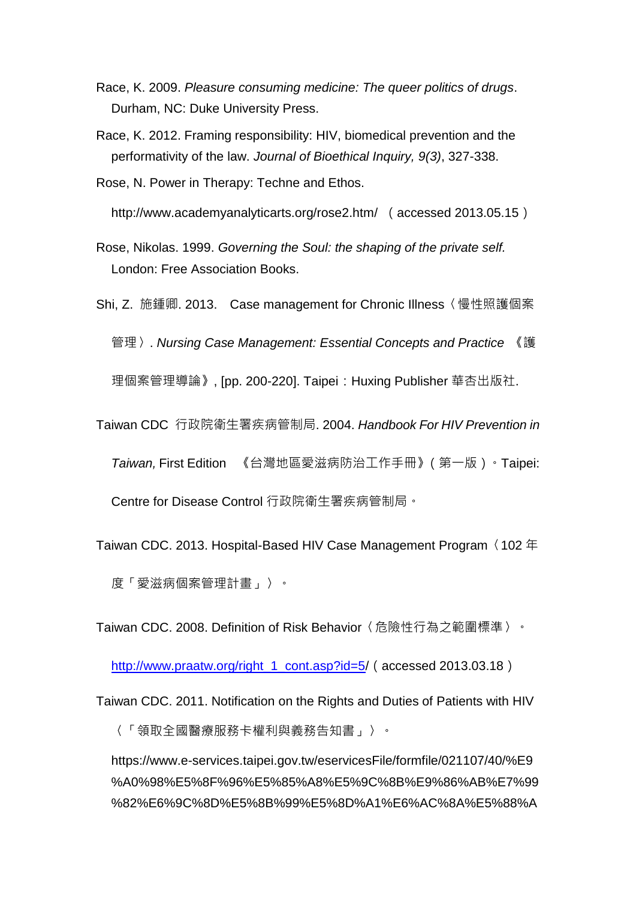- Race, K. 2009. *Pleasure consuming medicine: The queer politics of drugs*. Durham, NC: Duke University Press.
- Race, K. 2012. Framing responsibility: HIV, biomedical prevention and the performativity of the law. *Journal of Bioethical Inquiry, 9(3)*, 327-338.
- Rose, N. Power in Therapy: Techne and Ethos.

[http://www.academyanalyticarts.org/rose2.htm/](http://www.academyanalyticarts.org/rose2.htm) (accessed 2013.05.15)

- Rose, Nikolas. 1999. *Governing the Soul: the shaping of the private self.*  London: Free Association Books.
- Shi, Z. 施鍾卿. 2013. Case management for Chronic Illness〈慢性照護個案

管理〉. *Nursing Case Management: Essential Concepts and Practice* 《護

理個案管理導論》, [pp. 200-220]. Taipei: Huxing Publisher 華杏出版社.

Taiwan CDC 行政院衛生署疾病管制局. 2004. *Handbook For HIV Prevention in* 

*Taiwan,* First Edition 《台灣地區愛滋病防治工作手冊》(第一版)。Taipei:

Centre for Disease Control 行政院衛生署疾病管制局。

Taiwan CDC. 2013. Hospital-Based HIV Case Management Program〈102 年 度「愛滋病個案管理計畫」〉。

Taiwan CDC. 2008. Definition of Risk Behavior〈危險性行為之範圍標準〉。

[http://www.praatw.org/right\\_1\\_cont.asp?id=5/](http://www.praatw.org/right_1_cont.asp?id=5) (accessed 2013.03.18)

Taiwan CDC. 2011. Notification on the Rights and Duties of Patients with HIV

〈「領取全國醫療服務卡權利與義務告知書」〉。

[https://www.e-services.taipei.gov.tw/eservicesFile/formfile/021107/40/%E9](https://www.e-services.taipei.gov.tw/eservicesFile/formfile/021107/40/%E9%A0%98%E5%8F%96%E5%85%A8%E5%9C%8B%E9%86%AB%E7%99%82%E6%9C%8D%E5%8B%99%E5%8D%A1%E6%AC%8A%E5%88%A9%E8%88%87%E7%BE%A9%E5%8B%99%E5%91%8A%E7%9F%A5%E6%9B%B8.pdf) [%A0%98%E5%8F%96%E5%85%A8%E5%9C%8B%E9%86%AB%E7%99](https://www.e-services.taipei.gov.tw/eservicesFile/formfile/021107/40/%E9%A0%98%E5%8F%96%E5%85%A8%E5%9C%8B%E9%86%AB%E7%99%82%E6%9C%8D%E5%8B%99%E5%8D%A1%E6%AC%8A%E5%88%A9%E8%88%87%E7%BE%A9%E5%8B%99%E5%91%8A%E7%9F%A5%E6%9B%B8.pdf) [%82%E6%9C%8D%E5%8B%99%E5%8D%A1%E6%AC%8A%E5%88%A](https://www.e-services.taipei.gov.tw/eservicesFile/formfile/021107/40/%E9%A0%98%E5%8F%96%E5%85%A8%E5%9C%8B%E9%86%AB%E7%99%82%E6%9C%8D%E5%8B%99%E5%8D%A1%E6%AC%8A%E5%88%A9%E8%88%87%E7%BE%A9%E5%8B%99%E5%91%8A%E7%9F%A5%E6%9B%B8.pdf)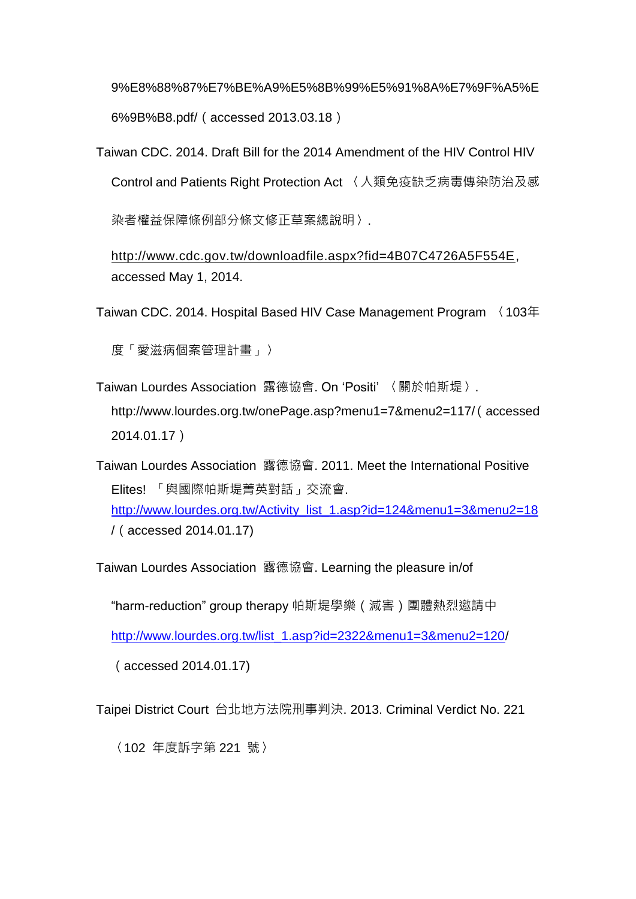[9%E8%88%87%E7%BE%A9%E5%8B%99%E5%91%8A%E7%9F%A5%E](https://www.e-services.taipei.gov.tw/eservicesFile/formfile/021107/40/%E9%A0%98%E5%8F%96%E5%85%A8%E5%9C%8B%E9%86%AB%E7%99%82%E6%9C%8D%E5%8B%99%E5%8D%A1%E6%AC%8A%E5%88%A9%E8%88%87%E7%BE%A9%E5%8B%99%E5%91%8A%E7%9F%A5%E6%9B%B8.pdf) [6%9B%B8.pdf/](https://www.e-services.taipei.gov.tw/eservicesFile/formfile/021107/40/%E9%A0%98%E5%8F%96%E5%85%A8%E5%9C%8B%E9%86%AB%E7%99%82%E6%9C%8D%E5%8B%99%E5%8D%A1%E6%AC%8A%E5%88%A9%E8%88%87%E7%BE%A9%E5%8B%99%E5%91%8A%E7%9F%A5%E6%9B%B8.pdf)(accessed 2013.03.18)

Taiwan CDC. 2014. Draft Bill for the 2014 Amendment of the HIV Control HIV Control and Patients Right Protection Act 〈人類免疫缺乏病毒傳染防治及感 染者權益保障條例部分條文修正草案總說明〉.

[http://www.cdc.gov.tw/downloadfile.aspx?fid=4B07C4726A5F554E,](http://www.cdc.gov.tw/downloadfile.aspx?fid=4B07C4726A5F554E) accessed May 1, 2014.

Taiwan CDC. 2014. Hospital Based HIV Case Management Program 〈103年

度「愛滋病個案管理計畫」〉

Taiwan Lourdes Association 露德協會. On 'Positi' 〈關於帕斯堤〉. http://www.lourdes.org.tw/onePage.asp?menu1=7&menu2=117/(accessed 2014.01.17)

Taiwan Lourdes Association 露德協會. 2011. Meet the International Positive Elites! 「與國際帕斯堤菁英對話」交流會. [http://www.lourdes.org.tw/Activity\\_list\\_1.asp?id=124&menu1=3&menu2=18](http://www.lourdes.org.tw/Activity_list_1.asp?id=124&menu1=3&menu2=18) /(accessed 2014.01.17)

Taiwan Lourdes Association 露德協會. Learning the pleasure in/of

"harm-reduction" group therapy 帕斯堤學樂(減害)團體熱烈邀請中

[http://www.lourdes.org.tw/list\\_1.asp?id=2322&menu1=3&menu2=120/](http://www.lourdes.org.tw/list_1.asp?id=2322&menu1=3&menu2=120)

(accessed 2014.01.17)

Taipei District Court 台北地方法院刑事判決. 2013. Criminal Verdict No. 221

〈102 年度訴字第 221 號〉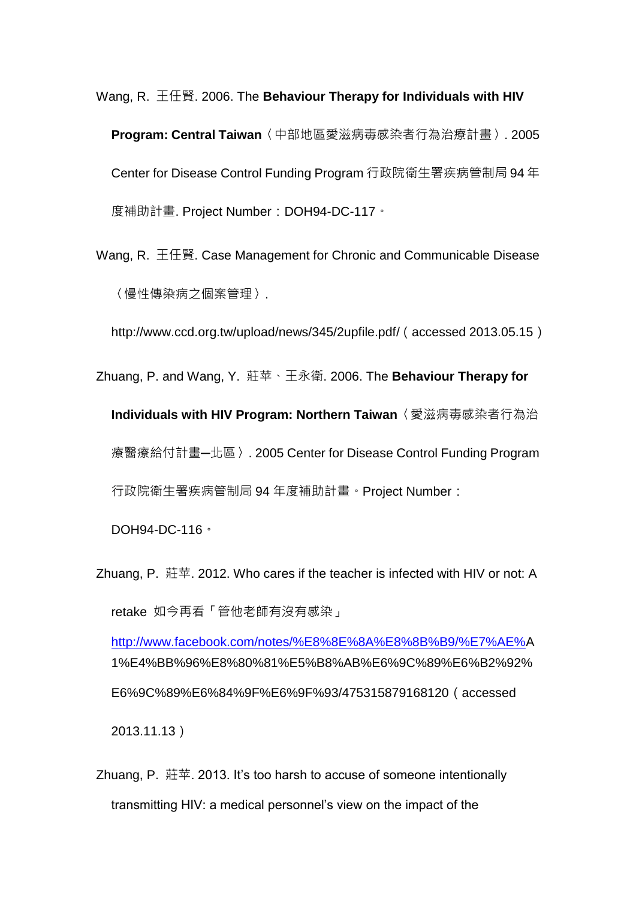Wang, R. 王任賢. 2006. The **Behaviour Therapy for Individuals with HIV Program: Central Taiwan**〈中部地區愛滋病毒感染者行為治療計畫〉. 2005 Center for Disease Control Funding Program 行政院衛生署疾病管制局 94 年 度補助計畫. Project Number:DOH94-DC-117。

Wang, R. 王任賢. Case Management for Chronic and Communicable Disease 〈慢性傳染病之個案管理〉.

[http://www.ccd.org.tw/upload/news/345/2upfile.pdf/](http://www.ccd.org.tw/upload/news/345/2upfile.pdf)(accessed 2013.05.15)

Zhuang, P. and Wang, Y. 莊苹、王永衛. 2006. The **Behaviour Therapy for** 

**Individuals with HIV Program: Northern Taiwan**〈愛滋病毒感染者行為治 療醫療給付計畫─北區〉. 2005 Center for Disease Control Funding Program 行政院衛生署疾病管制局 94 年度補助計畫。Project Number:

DOH94-DC-116。

Zhuang, P. 莊苹. 2012. Who cares if the teacher is infected with HIV or not: A retake 如今再看「管他老師有沒有感染」

[http://www.facebook.com/notes/%E8%8E%8A%E8%8B%B9/%E7%AE%A](http://www.facebook.com/notes/%E8%8E%8A%E8%8B%B9/%E7%AE%25) 1%E4%BB%96%E8%80%81%E5%B8%AB%E6%9C%89%E6%B2%92% E6%9C%89%E6%84%9F%E6%9F%93/475315879168120(accessed 2013.11.13)

Zhuang, P. 莊苹. 2013. It's too harsh to accuse of someone intentionally transmitting HIV: a medical personnel's view on the impact of the